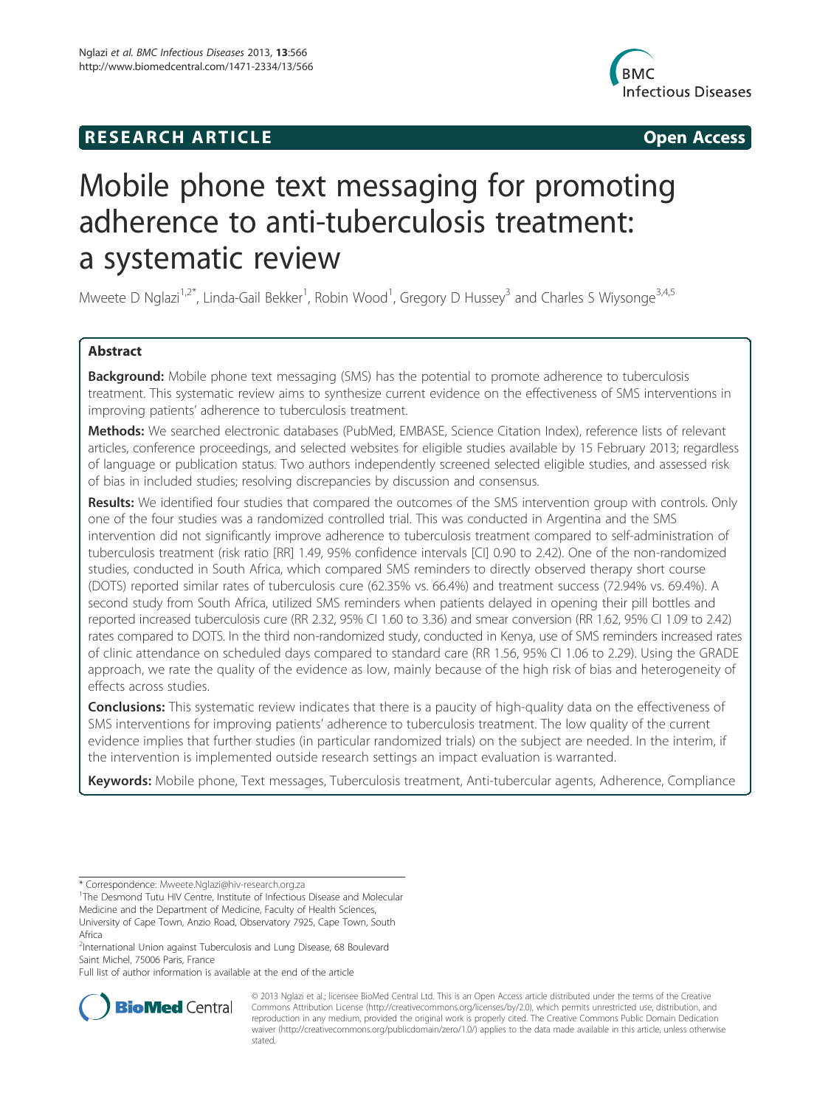# **RESEARCH ARTICLE Example 2014 The SEAR CH ACCESS**



# Mobile phone text messaging for promoting adherence to anti-tuberculosis treatment: a systematic review

Mweete D Nglazi<sup>1,2\*</sup>, Linda-Gail Bekker<sup>1</sup>, Robin Wood<sup>1</sup>, Gregory D Hussey<sup>3</sup> and Charles S Wiysonge<sup>3,4,5</sup>

# Abstract

**Background:** Mobile phone text messaging (SMS) has the potential to promote adherence to tuberculosis treatment. This systematic review aims to synthesize current evidence on the effectiveness of SMS interventions in improving patients' adherence to tuberculosis treatment.

Methods: We searched electronic databases (PubMed, EMBASE, Science Citation Index), reference lists of relevant articles, conference proceedings, and selected websites for eligible studies available by 15 February 2013; regardless of language or publication status. Two authors independently screened selected eligible studies, and assessed risk of bias in included studies; resolving discrepancies by discussion and consensus.

Results: We identified four studies that compared the outcomes of the SMS intervention group with controls. Only one of the four studies was a randomized controlled trial. This was conducted in Argentina and the SMS intervention did not significantly improve adherence to tuberculosis treatment compared to self-administration of tuberculosis treatment (risk ratio [RR] 1.49, 95% confidence intervals [CI] 0.90 to 2.42). One of the non-randomized studies, conducted in South Africa, which compared SMS reminders to directly observed therapy short course (DOTS) reported similar rates of tuberculosis cure (62.35% vs. 66.4%) and treatment success (72.94% vs. 69.4%). A second study from South Africa, utilized SMS reminders when patients delayed in opening their pill bottles and reported increased tuberculosis cure (RR 2.32, 95% CI 1.60 to 3.36) and smear conversion (RR 1.62, 95% CI 1.09 to 2.42) rates compared to DOTS. In the third non-randomized study, conducted in Kenya, use of SMS reminders increased rates of clinic attendance on scheduled days compared to standard care (RR 1.56, 95% CI 1.06 to 2.29). Using the GRADE approach, we rate the quality of the evidence as low, mainly because of the high risk of bias and heterogeneity of effects across studies.

**Conclusions:** This systematic review indicates that there is a paucity of high-quality data on the effectiveness of SMS interventions for improving patients' adherence to tuberculosis treatment. The low quality of the current evidence implies that further studies (in particular randomized trials) on the subject are needed. In the interim, if the intervention is implemented outside research settings an impact evaluation is warranted.

Keywords: Mobile phone, Text messages, Tuberculosis treatment, Anti-tubercular agents, Adherence, Compliance

Full list of author information is available at the end of the article



© 2013 Nglazi et al.; licensee BioMed Central Ltd. This is an Open Access article distributed under the terms of the Creative Commons Attribution License (http://creativecommons.org/licenses/by/2.0), which permits unrestricted use, distribution, and reproduction in any medium, provided the original work is properly cited. The Creative Commons Public Domain Dedication waiver (http://creativecommons.org/publicdomain/zero/1.0/) applies to the data made available in this article, unless otherwise stated.

<sup>\*</sup> Correspondence: Mweete.Nglazi@hiv-research.org.za <sup>1</sup>

<sup>&</sup>lt;sup>1</sup>The Desmond Tutu HIV Centre, Institute of Infectious Disease and Molecular Medicine and the Department of Medicine, Faculty of Health Sciences, University of Cape Town, Anzio Road, Observatory 7925, Cape Town, South Africa

<sup>&</sup>lt;sup>2</sup>International Union against Tuberculosis and Lung Disease, 68 Boulevard Saint Michel, 75006 Paris, France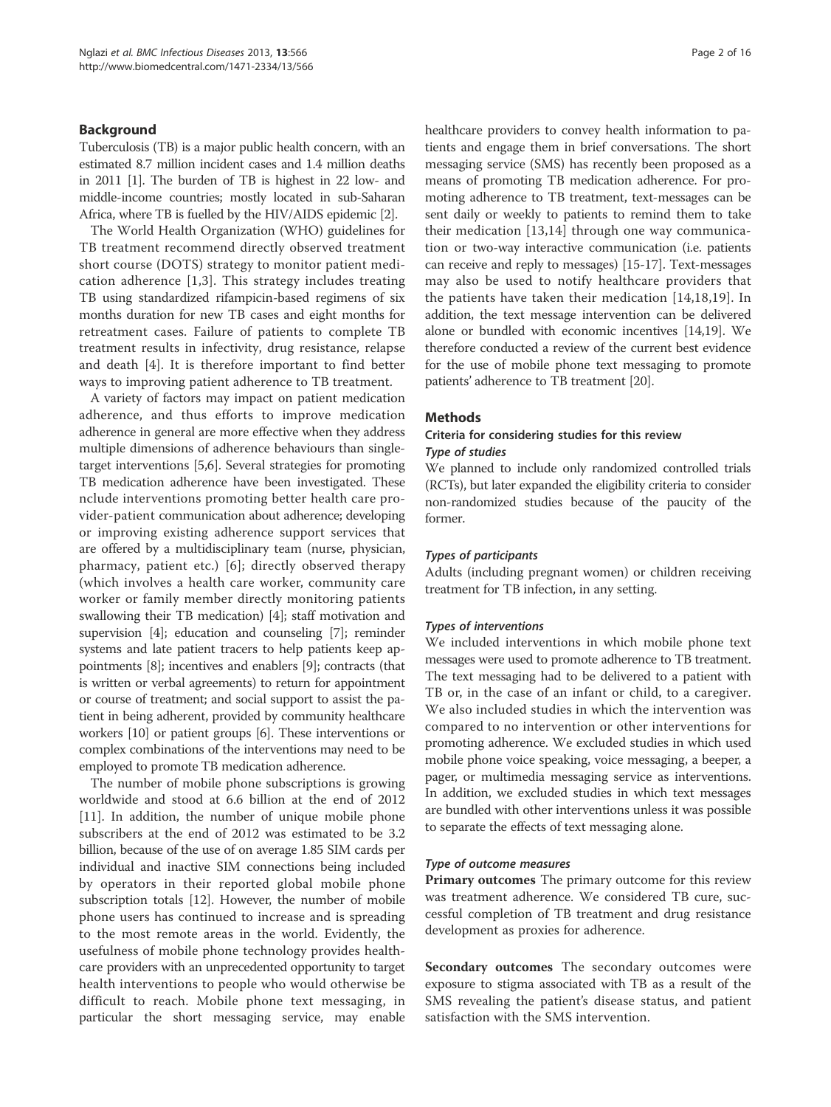#### **Background**

Tuberculosis (TB) is a major public health concern, with an estimated 8.7 million incident cases and 1.4 million deaths in 2011 [1]. The burden of TB is highest in 22 low- and middle-income countries; mostly located in sub-Saharan Africa, where TB is fuelled by the HIV/AIDS epidemic [2].

The World Health Organization (WHO) guidelines for TB treatment recommend directly observed treatment short course (DOTS) strategy to monitor patient medication adherence [1,3]. This strategy includes treating TB using standardized rifampicin-based regimens of six months duration for new TB cases and eight months for retreatment cases. Failure of patients to complete TB treatment results in infectivity, drug resistance, relapse and death [4]. It is therefore important to find better ways to improving patient adherence to TB treatment.

A variety of factors may impact on patient medication adherence, and thus efforts to improve medication adherence in general are more effective when they address multiple dimensions of adherence behaviours than singletarget interventions [5,6]. Several strategies for promoting TB medication adherence have been investigated. These nclude interventions promoting better health care provider-patient communication about adherence; developing or improving existing adherence support services that are offered by a multidisciplinary team (nurse, physician, pharmacy, patient etc.) [6]; directly observed therapy (which involves a health care worker, community care worker or family member directly monitoring patients swallowing their TB medication) [4]; staff motivation and supervision [4]; education and counseling [7]; reminder systems and late patient tracers to help patients keep appointments [8]; incentives and enablers [9]; contracts (that is written or verbal agreements) to return for appointment or course of treatment; and social support to assist the patient in being adherent, provided by community healthcare workers [10] or patient groups [6]. These interventions or complex combinations of the interventions may need to be employed to promote TB medication adherence.

The number of mobile phone subscriptions is growing worldwide and stood at 6.6 billion at the end of 2012 [11]. In addition, the number of unique mobile phone subscribers at the end of 2012 was estimated to be 3.2 billion, because of the use of on average 1.85 SIM cards per individual and inactive SIM connections being included by operators in their reported global mobile phone subscription totals [12]. However, the number of mobile phone users has continued to increase and is spreading to the most remote areas in the world. Evidently, the usefulness of mobile phone technology provides healthcare providers with an unprecedented opportunity to target health interventions to people who would otherwise be difficult to reach. Mobile phone text messaging, in particular the short messaging service, may enable healthcare providers to convey health information to patients and engage them in brief conversations. The short messaging service (SMS) has recently been proposed as a means of promoting TB medication adherence. For promoting adherence to TB treatment, text-messages can be sent daily or weekly to patients to remind them to take their medication [13,14] through one way communication or two-way interactive communication (i.e. patients can receive and reply to messages) [15-17]. Text-messages may also be used to notify healthcare providers that the patients have taken their medication [14,18,19]. In addition, the text message intervention can be delivered alone or bundled with economic incentives [14,19]. We therefore conducted a review of the current best evidence for the use of mobile phone text messaging to promote patients' adherence to TB treatment [20].

#### Methods

#### Criteria for considering studies for this review Type of studies

We planned to include only randomized controlled trials (RCTs), but later expanded the eligibility criteria to consider non-randomized studies because of the paucity of the former.

#### Types of participants

Adults (including pregnant women) or children receiving treatment for TB infection, in any setting.

#### Types of interventions

We included interventions in which mobile phone text messages were used to promote adherence to TB treatment. The text messaging had to be delivered to a patient with TB or, in the case of an infant or child, to a caregiver. We also included studies in which the intervention was compared to no intervention or other interventions for promoting adherence. We excluded studies in which used mobile phone voice speaking, voice messaging, a beeper, a pager, or multimedia messaging service as interventions. In addition, we excluded studies in which text messages are bundled with other interventions unless it was possible to separate the effects of text messaging alone.

#### Type of outcome measures

Primary outcomes The primary outcome for this review was treatment adherence. We considered TB cure, successful completion of TB treatment and drug resistance development as proxies for adherence.

Secondary outcomes The secondary outcomes were exposure to stigma associated with TB as a result of the SMS revealing the patient's disease status, and patient satisfaction with the SMS intervention.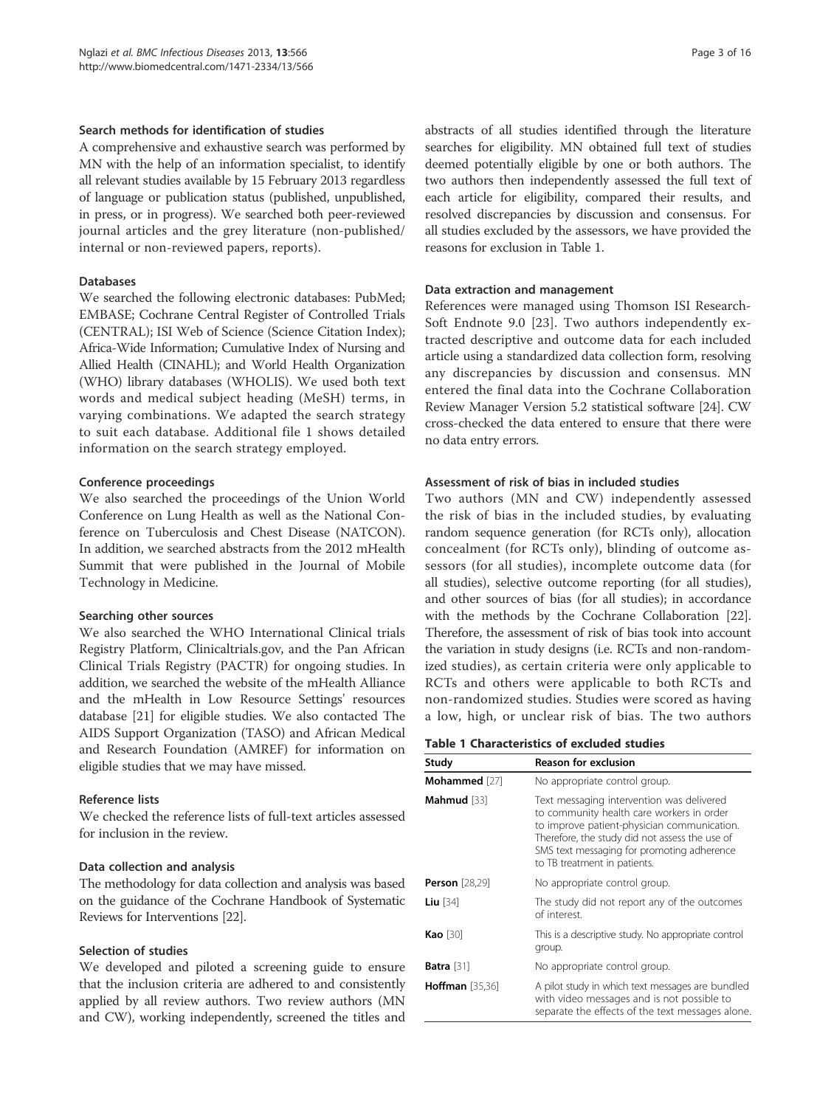#### Search methods for identification of studies

A comprehensive and exhaustive search was performed by MN with the help of an information specialist, to identify all relevant studies available by 15 February 2013 regardless of language or publication status (published, unpublished, in press, or in progress). We searched both peer-reviewed journal articles and the grey literature (non-published/ internal or non-reviewed papers, reports).

#### Databases

We searched the following electronic databases: PubMed; EMBASE; Cochrane Central Register of Controlled Trials (CENTRAL); ISI Web of Science (Science Citation Index); Africa-Wide Information; Cumulative Index of Nursing and Allied Health (CINAHL); and World Health Organization (WHO) library databases (WHOLIS). We used both text words and medical subject heading (MeSH) terms, in varying combinations. We adapted the search strategy to suit each database. Additional file 1 shows detailed information on the search strategy employed.

# Conference proceedings

We also searched the proceedings of the Union World Conference on Lung Health as well as the National Conference on Tuberculosis and Chest Disease (NATCON). In addition, we searched abstracts from the 2012 mHealth Summit that were published in the Journal of Mobile Technology in Medicine.

# Searching other sources

We also searched the WHO International Clinical trials Registry Platform, Clinicaltrials.gov, and the Pan African Clinical Trials Registry (PACTR) for ongoing studies. In addition, we searched the website of the mHealth Alliance and the mHealth in Low Resource Settings' resources database [21] for eligible studies. We also contacted The AIDS Support Organization (TASO) and African Medical and Research Foundation (AMREF) for information on eligible studies that we may have missed.

# Reference lists

We checked the reference lists of full-text articles assessed for inclusion in the review.

# Data collection and analysis

The methodology for data collection and analysis was based on the guidance of the Cochrane Handbook of Systematic Reviews for Interventions [22].

# Selection of studies

We developed and piloted a screening guide to ensure that the inclusion criteria are adhered to and consistently applied by all review authors. Two review authors (MN and CW), working independently, screened the titles and abstracts of all studies identified through the literature searches for eligibility. MN obtained full text of studies deemed potentially eligible by one or both authors. The two authors then independently assessed the full text of each article for eligibility, compared their results, and resolved discrepancies by discussion and consensus. For all studies excluded by the assessors, we have provided the reasons for exclusion in Table 1.

#### Data extraction and management

References were managed using Thomson ISI Research-Soft Endnote 9.0 [23]. Two authors independently extracted descriptive and outcome data for each included article using a standardized data collection form, resolving any discrepancies by discussion and consensus. MN entered the final data into the Cochrane Collaboration Review Manager Version 5.2 statistical software [24]. CW cross-checked the data entered to ensure that there were no data entry errors.

# Assessment of risk of bias in included studies

Two authors (MN and CW) independently assessed the risk of bias in the included studies, by evaluating random sequence generation (for RCTs only), allocation concealment (for RCTs only), blinding of outcome assessors (for all studies), incomplete outcome data (for all studies), selective outcome reporting (for all studies), and other sources of bias (for all studies); in accordance with the methods by the Cochrane Collaboration [22]. Therefore, the assessment of risk of bias took into account the variation in study designs (i.e. RCTs and non-randomized studies), as certain criteria were only applicable to RCTs and others were applicable to both RCTs and non-randomized studies. Studies were scored as having a low, high, or unclear risk of bias. The two authors

| <b>Table 1 Characteristics of excluded studies</b> |  |  |
|----------------------------------------------------|--|--|
|----------------------------------------------------|--|--|

| Study                  | <b>Reason for exclusion</b>                                                                                                                                                                                                                                           |  |  |  |
|------------------------|-----------------------------------------------------------------------------------------------------------------------------------------------------------------------------------------------------------------------------------------------------------------------|--|--|--|
| Mohammed [27]          | No appropriate control group.                                                                                                                                                                                                                                         |  |  |  |
| Mahmud [33]            | Text messaging intervention was delivered<br>to community health care workers in order<br>to improve patient-physician communication.<br>Therefore, the study did not assess the use of<br>SMS text messaging for promoting adherence<br>to TB treatment in patients. |  |  |  |
| <b>Person</b> [28,29]  | No appropriate control group.                                                                                                                                                                                                                                         |  |  |  |
| Liu $[34]$             | The study did not report any of the outcomes<br>of interest.                                                                                                                                                                                                          |  |  |  |
| <b>Kao</b> [30]        | This is a descriptive study. No appropriate control<br>group.                                                                                                                                                                                                         |  |  |  |
| <b>Batra</b> [31]      | No appropriate control group.                                                                                                                                                                                                                                         |  |  |  |
| <b>Hoffman</b> [35,36] | A pilot study in which text messages are bundled<br>with video messages and is not possible to<br>separate the effects of the text messages alone.                                                                                                                    |  |  |  |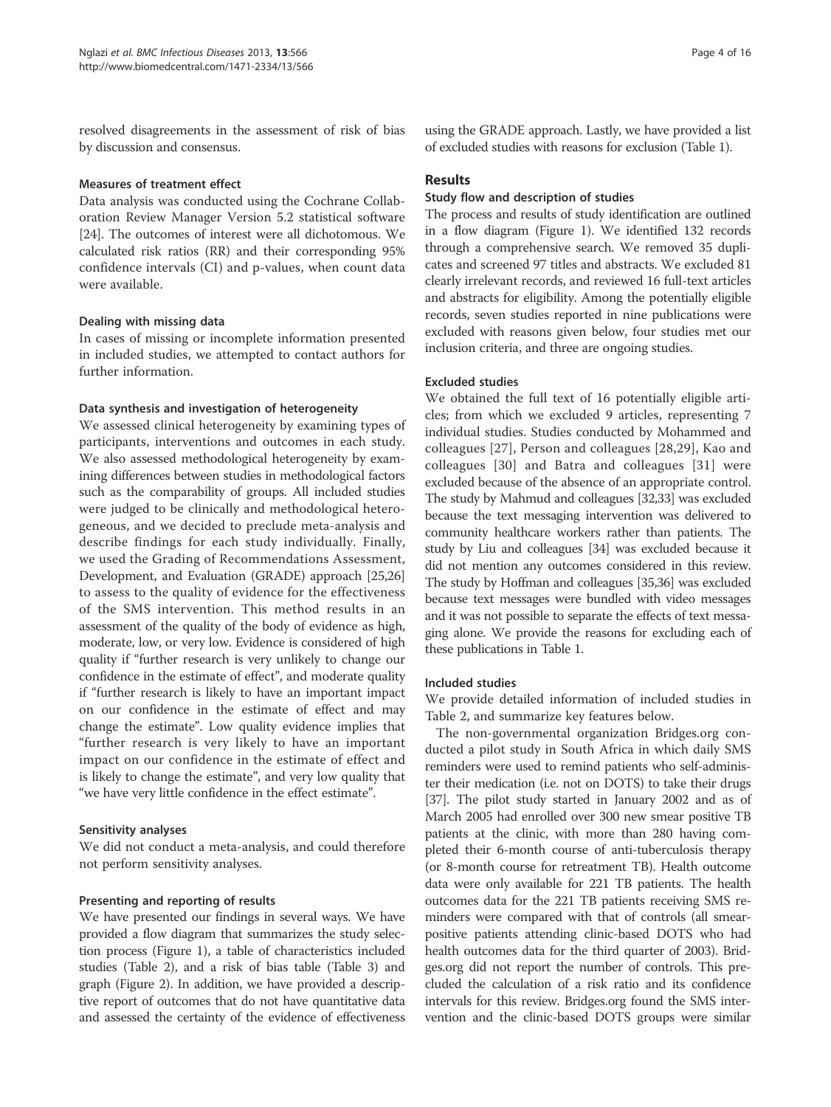resolved disagreements in the assessment of risk of bias by discussion and consensus.

#### Measures of treatment effect

Data analysis was conducted using the Cochrane Collaboration Review Manager Version 5.2 statistical software [24]. The outcomes of interest were all dichotomous. We calculated risk ratios (RR) and their corresponding 95% confidence intervals (CI) and p-values, when count data were available.

# Dealing with missing data

In cases of missing or incomplete information presented in included studies, we attempted to contact authors for further information.

#### Data synthesis and investigation of heterogeneity

We assessed clinical heterogeneity by examining types of participants, interventions and outcomes in each study. We also assessed methodological heterogeneity by examining differences between studies in methodological factors such as the comparability of groups. All included studies were judged to be clinically and methodological heterogeneous, and we decided to preclude meta-analysis and describe findings for each study individually. Finally, we used the Grading of Recommendations Assessment, Development, and Evaluation (GRADE) approach [25,26] to assess to the quality of evidence for the effectiveness of the SMS intervention. This method results in an assessment of the quality of the body of evidence as high, moderate, low, or very low. Evidence is considered of high quality if "further research is very unlikely to change our confidence in the estimate of effect", and moderate quality if "further research is likely to have an important impact on our confidence in the estimate of effect and may change the estimate". Low quality evidence implies that "further research is very likely to have an important impact on our confidence in the estimate of effect and is likely to change the estimate", and very low quality that "we have very little confidence in the effect estimate".

# Sensitivity analyses

We did not conduct a meta-analysis, and could therefore not perform sensitivity analyses.

# Presenting and reporting of results

We have presented our findings in several ways. We have provided a flow diagram that summarizes the study selection process (Figure 1), a table of characteristics included studies (Table 2), and a risk of bias table (Table 3) and graph (Figure 2). In addition, we have provided a descriptive report of outcomes that do not have quantitative data and assessed the certainty of the evidence of effectiveness using the GRADE approach. Lastly, we have provided a list of excluded studies with reasons for exclusion (Table 1).

#### Results

#### Study flow and description of studies

The process and results of study identification are outlined in a flow diagram (Figure 1). We identified 132 records through a comprehensive search. We removed 35 duplicates and screened 97 titles and abstracts. We excluded 81 clearly irrelevant records, and reviewed 16 full-text articles and abstracts for eligibility. Among the potentially eligible records, seven studies reported in nine publications were excluded with reasons given below, four studies met our inclusion criteria, and three are ongoing studies.

#### Excluded studies

We obtained the full text of 16 potentially eligible articles; from which we excluded 9 articles, representing 7 individual studies. Studies conducted by Mohammed and colleagues [27], Person and colleagues [28,29], Kao and colleagues [30] and Batra and colleagues [31] were excluded because of the absence of an appropriate control. The study by Mahmud and colleagues [32,33] was excluded because the text messaging intervention was delivered to community healthcare workers rather than patients. The study by Liu and colleagues [34] was excluded because it did not mention any outcomes considered in this review. The study by Hoffman and colleagues [35,36] was excluded because text messages were bundled with video messages and it was not possible to separate the effects of text messaging alone. We provide the reasons for excluding each of these publications in Table 1.

#### Included studies

We provide detailed information of included studies in Table 2, and summarize key features below.

The non-governmental organization Bridges.org conducted a pilot study in South Africa in which daily SMS reminders were used to remind patients who self-administer their medication (i.e. not on DOTS) to take their drugs [37]. The pilot study started in January 2002 and as of March 2005 had enrolled over 300 new smear positive TB patients at the clinic, with more than 280 having completed their 6-month course of anti-tuberculosis therapy (or 8-month course for retreatment TB). Health outcome data were only available for 221 TB patients. The health outcomes data for the 221 TB patients receiving SMS reminders were compared with that of controls (all smearpositive patients attending clinic-based DOTS who had health outcomes data for the third quarter of 2003). Bridges.org did not report the number of controls. This precluded the calculation of a risk ratio and its confidence intervals for this review. Bridges.org found the SMS intervention and the clinic-based DOTS groups were similar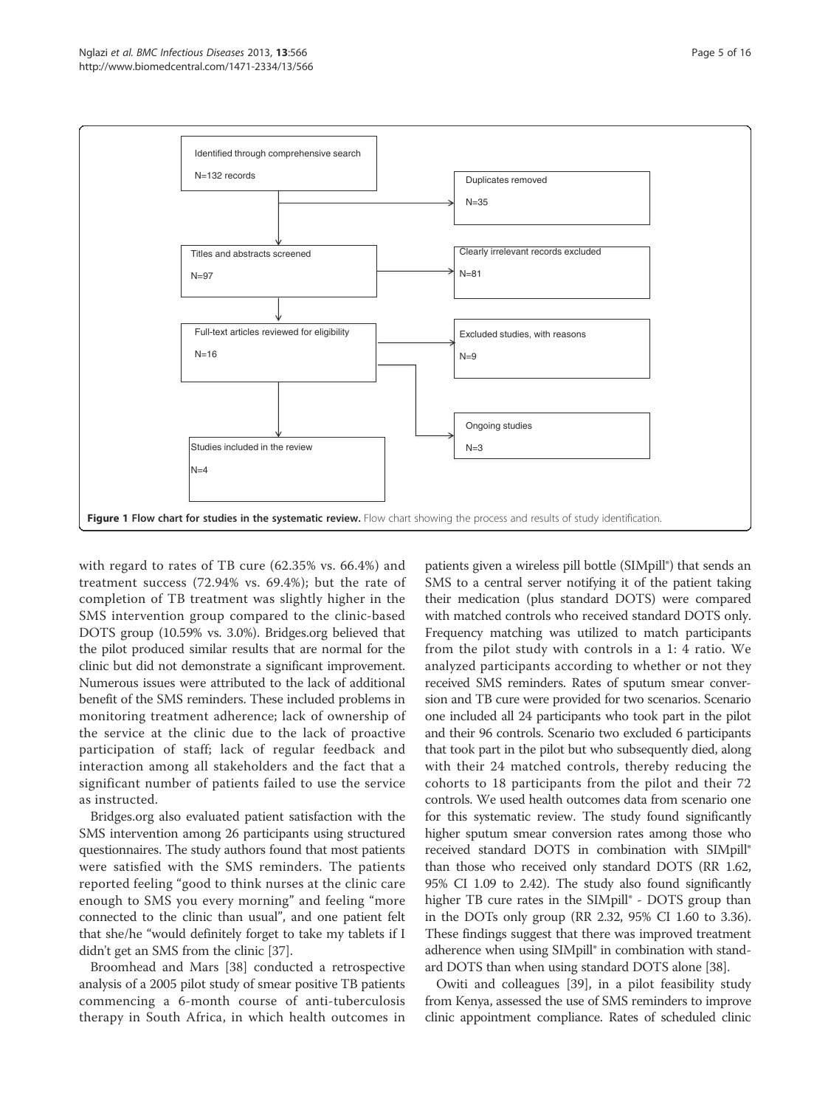

with regard to rates of TB cure (62.35% vs. 66.4%) and treatment success (72.94% vs. 69.4%); but the rate of completion of TB treatment was slightly higher in the SMS intervention group compared to the clinic-based DOTS group (10.59% vs. 3.0%). Bridges.org believed that the pilot produced similar results that are normal for the clinic but did not demonstrate a significant improvement. Numerous issues were attributed to the lack of additional benefit of the SMS reminders. These included problems in monitoring treatment adherence; lack of ownership of the service at the clinic due to the lack of proactive participation of staff; lack of regular feedback and interaction among all stakeholders and the fact that a significant number of patients failed to use the service as instructed.

Bridges.org also evaluated patient satisfaction with the SMS intervention among 26 participants using structured questionnaires. The study authors found that most patients were satisfied with the SMS reminders. The patients reported feeling "good to think nurses at the clinic care enough to SMS you every morning" and feeling "more connected to the clinic than usual", and one patient felt that she/he "would definitely forget to take my tablets if I didn't get an SMS from the clinic [37].

Broomhead and Mars [38] conducted a retrospective analysis of a 2005 pilot study of smear positive TB patients commencing a 6-month course of anti-tuberculosis therapy in South Africa, in which health outcomes in

patients given a wireless pill bottle (SIMpill®) that sends an SMS to a central server notifying it of the patient taking their medication (plus standard DOTS) were compared with matched controls who received standard DOTS only. Frequency matching was utilized to match participants from the pilot study with controls in a 1: 4 ratio. We analyzed participants according to whether or not they received SMS reminders. Rates of sputum smear conversion and TB cure were provided for two scenarios. Scenario one included all 24 participants who took part in the pilot and their 96 controls. Scenario two excluded 6 participants that took part in the pilot but who subsequently died, along with their 24 matched controls, thereby reducing the cohorts to 18 participants from the pilot and their 72 controls. We used health outcomes data from scenario one for this systematic review. The study found significantly higher sputum smear conversion rates among those who received standard DOTS in combination with SIMpill® than those who received only standard DOTS (RR 1.62, 95% CI 1.09 to 2.42). The study also found significantly higher TB cure rates in the SIMpill® - DOTS group than in the DOTs only group (RR 2.32, 95% CI 1.60 to 3.36). These findings suggest that there was improved treatment adherence when using SIMpill® in combination with standard DOTS than when using standard DOTS alone [38].

Owiti and colleagues [39], in a pilot feasibility study from Kenya, assessed the use of SMS reminders to improve clinic appointment compliance. Rates of scheduled clinic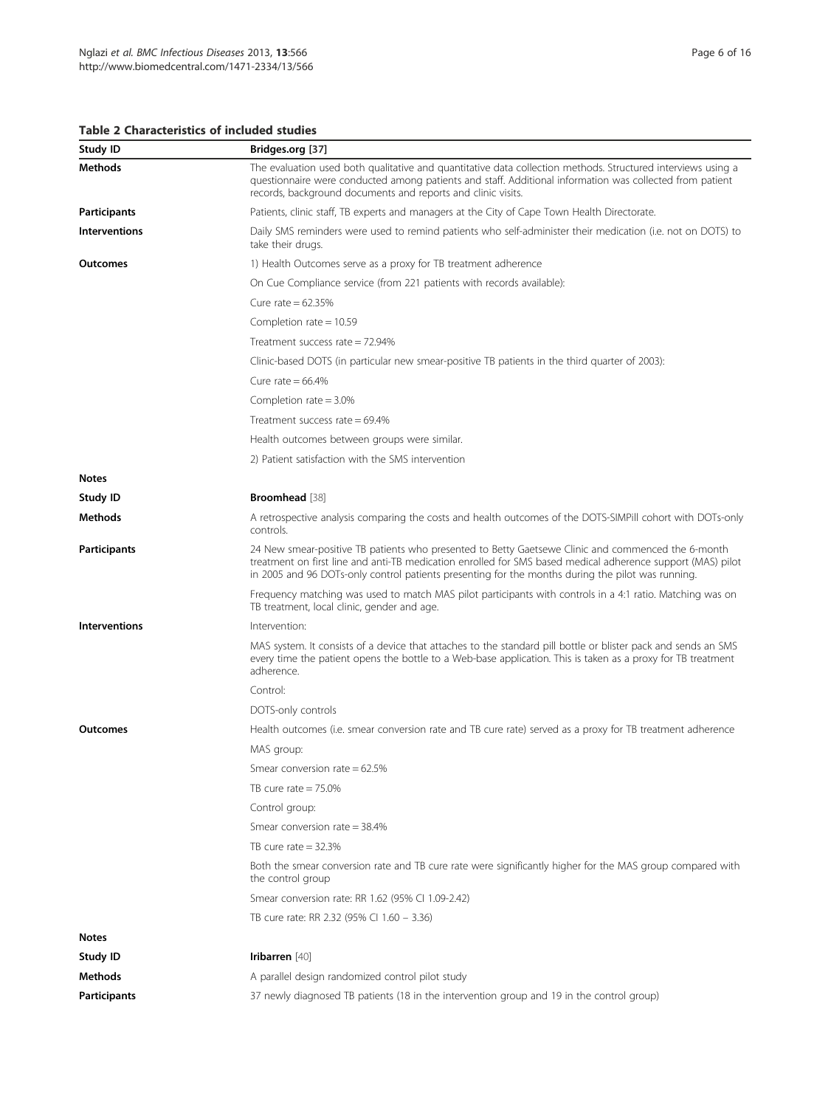Table 2 Characteristics of included studies

| Study ID             | Bridges.org [37]                                                                                                                                                                                                                                                                                                       |  |  |  |  |
|----------------------|------------------------------------------------------------------------------------------------------------------------------------------------------------------------------------------------------------------------------------------------------------------------------------------------------------------------|--|--|--|--|
| Methods              | The evaluation used both qualitative and quantitative data collection methods. Structured interviews using a<br>questionnaire were conducted among patients and staff. Additional information was collected from patient<br>records, background documents and reports and clinic visits.                               |  |  |  |  |
| <b>Participants</b>  | Patients, clinic staff, TB experts and managers at the City of Cape Town Health Directorate.                                                                                                                                                                                                                           |  |  |  |  |
| <b>Interventions</b> | Daily SMS reminders were used to remind patients who self-administer their medication (i.e. not on DOTS) to<br>take their drugs.                                                                                                                                                                                       |  |  |  |  |
| Outcomes             | 1) Health Outcomes serve as a proxy for TB treatment adherence                                                                                                                                                                                                                                                         |  |  |  |  |
|                      | On Cue Compliance service (from 221 patients with records available):                                                                                                                                                                                                                                                  |  |  |  |  |
|                      | Cure rate = $62.35\%$                                                                                                                                                                                                                                                                                                  |  |  |  |  |
|                      | Completion rate = $10.59$                                                                                                                                                                                                                                                                                              |  |  |  |  |
|                      | Treatment success rate $= 72.94\%$                                                                                                                                                                                                                                                                                     |  |  |  |  |
|                      | Clinic-based DOTS (in particular new smear-positive TB patients in the third quarter of 2003):                                                                                                                                                                                                                         |  |  |  |  |
|                      | Cure rate = $66.4\%$                                                                                                                                                                                                                                                                                                   |  |  |  |  |
|                      | Completion rate = $3.0\%$                                                                                                                                                                                                                                                                                              |  |  |  |  |
|                      | Treatment success rate = $69.4\%$                                                                                                                                                                                                                                                                                      |  |  |  |  |
|                      | Health outcomes between groups were similar.                                                                                                                                                                                                                                                                           |  |  |  |  |
|                      | 2) Patient satisfaction with the SMS intervention                                                                                                                                                                                                                                                                      |  |  |  |  |
| <b>Notes</b>         |                                                                                                                                                                                                                                                                                                                        |  |  |  |  |
| Study ID             | Broomhead [38]                                                                                                                                                                                                                                                                                                         |  |  |  |  |
| <b>Methods</b>       | A retrospective analysis comparing the costs and health outcomes of the DOTS-SIMPill cohort with DOTs-only<br>controls.                                                                                                                                                                                                |  |  |  |  |
| <b>Participants</b>  | 24 New smear-positive TB patients who presented to Betty Gaetsewe Clinic and commenced the 6-month<br>treatment on first line and anti-TB medication enrolled for SMS based medical adherence support (MAS) pilot<br>in 2005 and 96 DOTs-only control patients presenting for the months during the pilot was running. |  |  |  |  |
|                      | Frequency matching was used to match MAS pilot participants with controls in a 4:1 ratio. Matching was on<br>TB treatment, local clinic, gender and age.                                                                                                                                                               |  |  |  |  |
| Interventions        | Intervention:                                                                                                                                                                                                                                                                                                          |  |  |  |  |
|                      | MAS system. It consists of a device that attaches to the standard pill bottle or blister pack and sends an SMS<br>every time the patient opens the bottle to a Web-base application. This is taken as a proxy for TB treatment<br>adherence.                                                                           |  |  |  |  |
|                      | Control:                                                                                                                                                                                                                                                                                                               |  |  |  |  |
|                      | DOTS-only controls                                                                                                                                                                                                                                                                                                     |  |  |  |  |
| Outcomes             | Health outcomes (i.e. smear conversion rate and TB cure rate) served as a proxy for TB treatment adherence                                                                                                                                                                                                             |  |  |  |  |
|                      | MAS group:                                                                                                                                                                                                                                                                                                             |  |  |  |  |
|                      | Smear conversion rate = $62.5\%$                                                                                                                                                                                                                                                                                       |  |  |  |  |
|                      | TB cure rate $= 75.0\%$                                                                                                                                                                                                                                                                                                |  |  |  |  |
|                      | Control group:                                                                                                                                                                                                                                                                                                         |  |  |  |  |
|                      | Smear conversion rate = $38.4\%$                                                                                                                                                                                                                                                                                       |  |  |  |  |
|                      | TB cure rate $=$ 32.3%                                                                                                                                                                                                                                                                                                 |  |  |  |  |
|                      | Both the smear conversion rate and TB cure rate were significantly higher for the MAS group compared with<br>the control group                                                                                                                                                                                         |  |  |  |  |
|                      | Smear conversion rate: RR 1.62 (95% CI 1.09-2.42)                                                                                                                                                                                                                                                                      |  |  |  |  |
|                      | TB cure rate: RR 2.32 (95% Cl 1.60 - 3.36)                                                                                                                                                                                                                                                                             |  |  |  |  |
| <b>Notes</b>         |                                                                                                                                                                                                                                                                                                                        |  |  |  |  |
| Study ID             | Iribarren [40]                                                                                                                                                                                                                                                                                                         |  |  |  |  |
| <b>Methods</b>       | A parallel design randomized control pilot study                                                                                                                                                                                                                                                                       |  |  |  |  |
| <b>Participants</b>  | 37 newly diagnosed TB patients (18 in the intervention group and 19 in the control group)                                                                                                                                                                                                                              |  |  |  |  |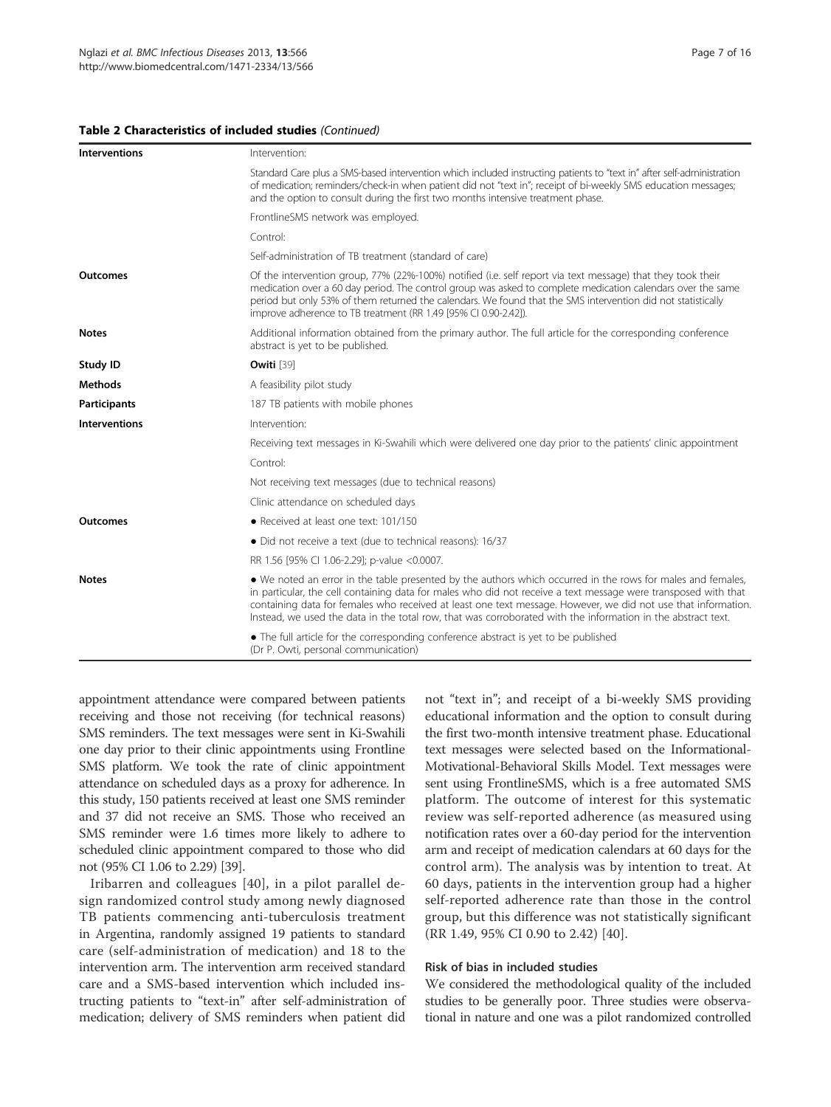#### Table 2 Characteristics of included studies (Continued)

| <b>Interventions</b> | Intervention:                                                                                                                                                                                                                                                                                                                                                                                                                                                 |
|----------------------|---------------------------------------------------------------------------------------------------------------------------------------------------------------------------------------------------------------------------------------------------------------------------------------------------------------------------------------------------------------------------------------------------------------------------------------------------------------|
|                      | Standard Care plus a SMS-based intervention which included instructing patients to "text in" after self-administration<br>of medication; reminders/check-in when patient did not "text in"; receipt of bi-weekly SMS education messages;<br>and the option to consult during the first two months intensive treatment phase.                                                                                                                                  |
|                      | FrontlineSMS network was employed.                                                                                                                                                                                                                                                                                                                                                                                                                            |
|                      | Control:                                                                                                                                                                                                                                                                                                                                                                                                                                                      |
|                      | Self-administration of TB treatment (standard of care)                                                                                                                                                                                                                                                                                                                                                                                                        |
| Outcomes             | Of the intervention group, 77% (22%-100%) notified (i.e. self report via text message) that they took their<br>medication over a 60 day period. The control group was asked to complete medication calendars over the same<br>period but only 53% of them returned the calendars. We found that the SMS intervention did not statistically<br>improve adherence to TB treatment (RR 1.49 [95% CI 0.90-2.42]).                                                 |
| <b>Notes</b>         | Additional information obtained from the primary author. The full article for the corresponding conference<br>abstract is yet to be published.                                                                                                                                                                                                                                                                                                                |
| Study ID             | Owiti <sup>[39]</sup>                                                                                                                                                                                                                                                                                                                                                                                                                                         |
| <b>Methods</b>       | A feasibility pilot study                                                                                                                                                                                                                                                                                                                                                                                                                                     |
| <b>Participants</b>  | 187 TB patients with mobile phones                                                                                                                                                                                                                                                                                                                                                                                                                            |
| <b>Interventions</b> | Intervention:                                                                                                                                                                                                                                                                                                                                                                                                                                                 |
|                      | Receiving text messages in Ki-Swahili which were delivered one day prior to the patients' clinic appointment                                                                                                                                                                                                                                                                                                                                                  |
|                      | Control:                                                                                                                                                                                                                                                                                                                                                                                                                                                      |
|                      | Not receiving text messages (due to technical reasons)                                                                                                                                                                                                                                                                                                                                                                                                        |
|                      | Clinic attendance on scheduled days                                                                                                                                                                                                                                                                                                                                                                                                                           |
| Outcomes             | • Received at least one text: 101/150                                                                                                                                                                                                                                                                                                                                                                                                                         |
|                      | • Did not receive a text (due to technical reasons): 16/37                                                                                                                                                                                                                                                                                                                                                                                                    |
|                      | RR 1.56 [95% CI 1.06-2.29]; p-value <0.0007.                                                                                                                                                                                                                                                                                                                                                                                                                  |
| <b>Notes</b>         | • We noted an error in the table presented by the authors which occurred in the rows for males and females,<br>in particular, the cell containing data for males who did not receive a text message were transposed with that<br>containing data for females who received at least one text message. However, we did not use that information<br>Instead, we used the data in the total row, that was corroborated with the information in the abstract text. |
|                      | • The full article for the corresponding conference abstract is yet to be published<br>(Dr P. Owti, personal communication)                                                                                                                                                                                                                                                                                                                                   |

appointment attendance were compared between patients receiving and those not receiving (for technical reasons) SMS reminders. The text messages were sent in Ki-Swahili one day prior to their clinic appointments using Frontline SMS platform. We took the rate of clinic appointment attendance on scheduled days as a proxy for adherence. In this study, 150 patients received at least one SMS reminder and 37 did not receive an SMS. Those who received an SMS reminder were 1.6 times more likely to adhere to scheduled clinic appointment compared to those who did not (95% CI 1.06 to 2.29) [39].

Iribarren and colleagues [40], in a pilot parallel design randomized control study among newly diagnosed TB patients commencing anti-tuberculosis treatment in Argentina, randomly assigned 19 patients to standard care (self-administration of medication) and 18 to the intervention arm. The intervention arm received standard care and a SMS-based intervention which included instructing patients to "text-in" after self-administration of medication; delivery of SMS reminders when patient did not "text in"; and receipt of a bi-weekly SMS providing educational information and the option to consult during the first two-month intensive treatment phase. Educational text messages were selected based on the Informational-Motivational-Behavioral Skills Model. Text messages were sent using FrontlineSMS, which is a free automated SMS platform. The outcome of interest for this systematic review was self-reported adherence (as measured using notification rates over a 60-day period for the intervention arm and receipt of medication calendars at 60 days for the control arm). The analysis was by intention to treat. At 60 days, patients in the intervention group had a higher self-reported adherence rate than those in the control group, but this difference was not statistically significant (RR 1.49, 95% CI 0.90 to 2.42) [40].

#### Risk of bias in included studies

We considered the methodological quality of the included studies to be generally poor. Three studies were observational in nature and one was a pilot randomized controlled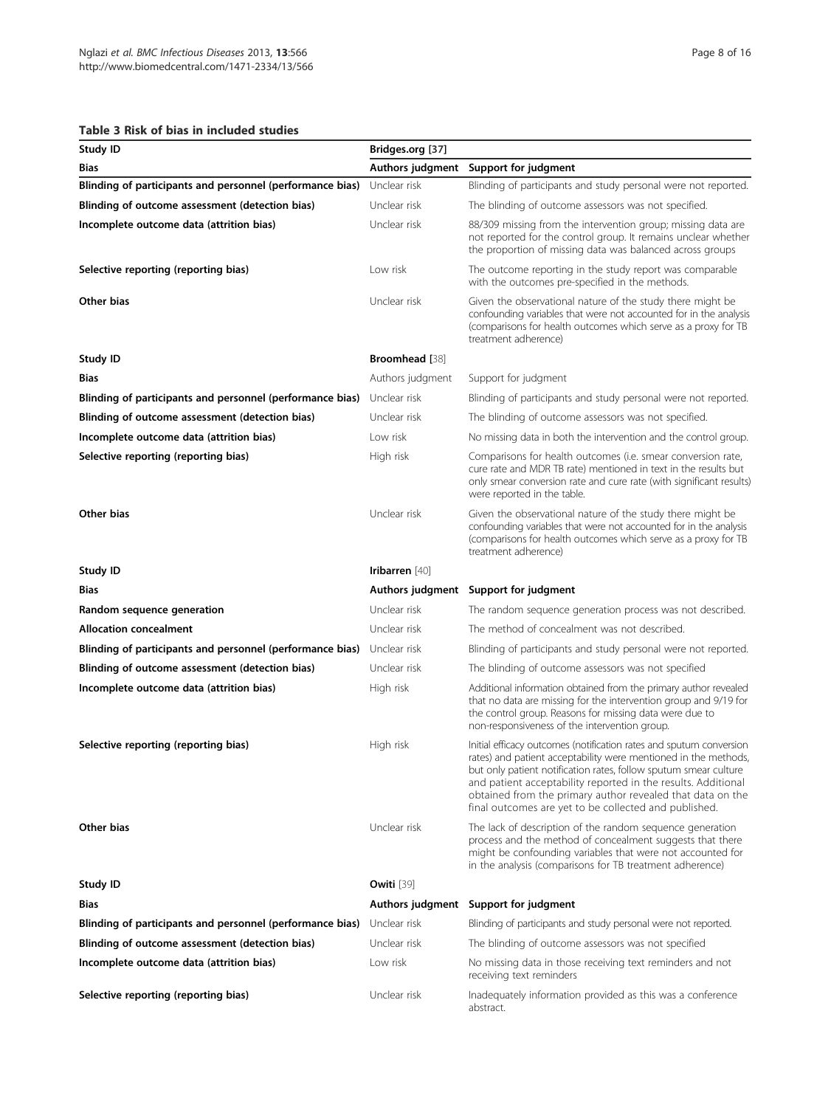# Table 3 Risk of bias in included studies

| Table 3 Risk of bias in included studies                  |                         |                                                                                                                                                                                                                                                                                                                                                                                                    |
|-----------------------------------------------------------|-------------------------|----------------------------------------------------------------------------------------------------------------------------------------------------------------------------------------------------------------------------------------------------------------------------------------------------------------------------------------------------------------------------------------------------|
| Study ID                                                  | Bridges.org [37]        |                                                                                                                                                                                                                                                                                                                                                                                                    |
| Bias                                                      | <b>Authors judgment</b> | Support for judgment                                                                                                                                                                                                                                                                                                                                                                               |
| Blinding of participants and personnel (performance bias) | Unclear risk            | Blinding of participants and study personal were not reported.                                                                                                                                                                                                                                                                                                                                     |
| Blinding of outcome assessment (detection bias)           | Unclear risk            | The blinding of outcome assessors was not specified.                                                                                                                                                                                                                                                                                                                                               |
| Incomplete outcome data (attrition bias)                  | Unclear risk            | 88/309 missing from the intervention group; missing data are<br>not reported for the control group. It remains unclear whether<br>the proportion of missing data was balanced across groups                                                                                                                                                                                                        |
| Selective reporting (reporting bias)                      | Low risk                | The outcome reporting in the study report was comparable<br>with the outcomes pre-specified in the methods.                                                                                                                                                                                                                                                                                        |
| Other bias                                                | Unclear risk            | Given the observational nature of the study there might be<br>confounding variables that were not accounted for in the analysis<br>(comparisons for health outcomes which serve as a proxy for TB<br>treatment adherence)                                                                                                                                                                          |
| Study ID                                                  | Broomhead [38]          |                                                                                                                                                                                                                                                                                                                                                                                                    |
| Bias                                                      | Authors judgment        | Support for judgment                                                                                                                                                                                                                                                                                                                                                                               |
| Blinding of participants and personnel (performance bias) | Unclear risk            | Blinding of participants and study personal were not reported.                                                                                                                                                                                                                                                                                                                                     |
| Blinding of outcome assessment (detection bias)           | Unclear risk            | The blinding of outcome assessors was not specified.                                                                                                                                                                                                                                                                                                                                               |
| Incomplete outcome data (attrition bias)                  | Low risk                | No missing data in both the intervention and the control group.                                                                                                                                                                                                                                                                                                                                    |
| Selective reporting (reporting bias)                      | High risk               | Comparisons for health outcomes (i.e. smear conversion rate,<br>cure rate and MDR TB rate) mentioned in text in the results but<br>only smear conversion rate and cure rate (with significant results)<br>were reported in the table.                                                                                                                                                              |
| Other bias                                                | Unclear risk            | Given the observational nature of the study there might be<br>confounding variables that were not accounted for in the analysis<br>(comparisons for health outcomes which serve as a proxy for TB<br>treatment adherence)                                                                                                                                                                          |
| Study ID                                                  | Iribarren [40]          |                                                                                                                                                                                                                                                                                                                                                                                                    |
| Bias                                                      |                         | Authors judgment Support for judgment                                                                                                                                                                                                                                                                                                                                                              |
| Random sequence generation                                | Unclear risk            | The random sequence generation process was not described.                                                                                                                                                                                                                                                                                                                                          |
| <b>Allocation concealment</b>                             | Unclear risk            | The method of concealment was not described.                                                                                                                                                                                                                                                                                                                                                       |
| Blinding of participants and personnel (performance bias) | Unclear risk            | Blinding of participants and study personal were not reported.                                                                                                                                                                                                                                                                                                                                     |
| Blinding of outcome assessment (detection bias)           | Unclear risk            | The blinding of outcome assessors was not specified                                                                                                                                                                                                                                                                                                                                                |
| Incomplete outcome data (attrition bias)                  | High risk               | Additional information obtained from the primary author revealed<br>that no data are missing for the intervention group and 9/19 for<br>the control group. Reasons for missing data were due to<br>non-responsiveness of the intervention group.                                                                                                                                                   |
| Selective reporting (reporting bias)                      | High risk               | Initial efficacy outcomes (notification rates and sputum conversion<br>rates) and patient acceptability were mentioned in the methods,<br>but only patient notification rates, follow sputum smear culture<br>and patient acceptability reported in the results. Additional<br>obtained from the primary author revealed that data on the<br>final outcomes are yet to be collected and published. |
| Other bias                                                | Unclear risk            | The lack of description of the random sequence generation<br>process and the method of concealment suggests that there<br>might be confounding variables that were not accounted for<br>in the analysis (comparisons for TB treatment adherence)                                                                                                                                                   |
| Study ID                                                  | Owiti <sup>[39]</sup>   |                                                                                                                                                                                                                                                                                                                                                                                                    |
| Bias                                                      |                         | Authors judgment Support for judgment                                                                                                                                                                                                                                                                                                                                                              |
| Blinding of participants and personnel (performance bias) | Unclear risk            | Blinding of participants and study personal were not reported.                                                                                                                                                                                                                                                                                                                                     |
| Blinding of outcome assessment (detection bias)           | Unclear risk            | The blinding of outcome assessors was not specified                                                                                                                                                                                                                                                                                                                                                |
| Incomplete outcome data (attrition bias)                  | Low risk                | No missing data in those receiving text reminders and not<br>receiving text reminders                                                                                                                                                                                                                                                                                                              |
| Selective reporting (reporting bias)                      | Unclear risk            | Inadequately information provided as this was a conference<br>abstract.                                                                                                                                                                                                                                                                                                                            |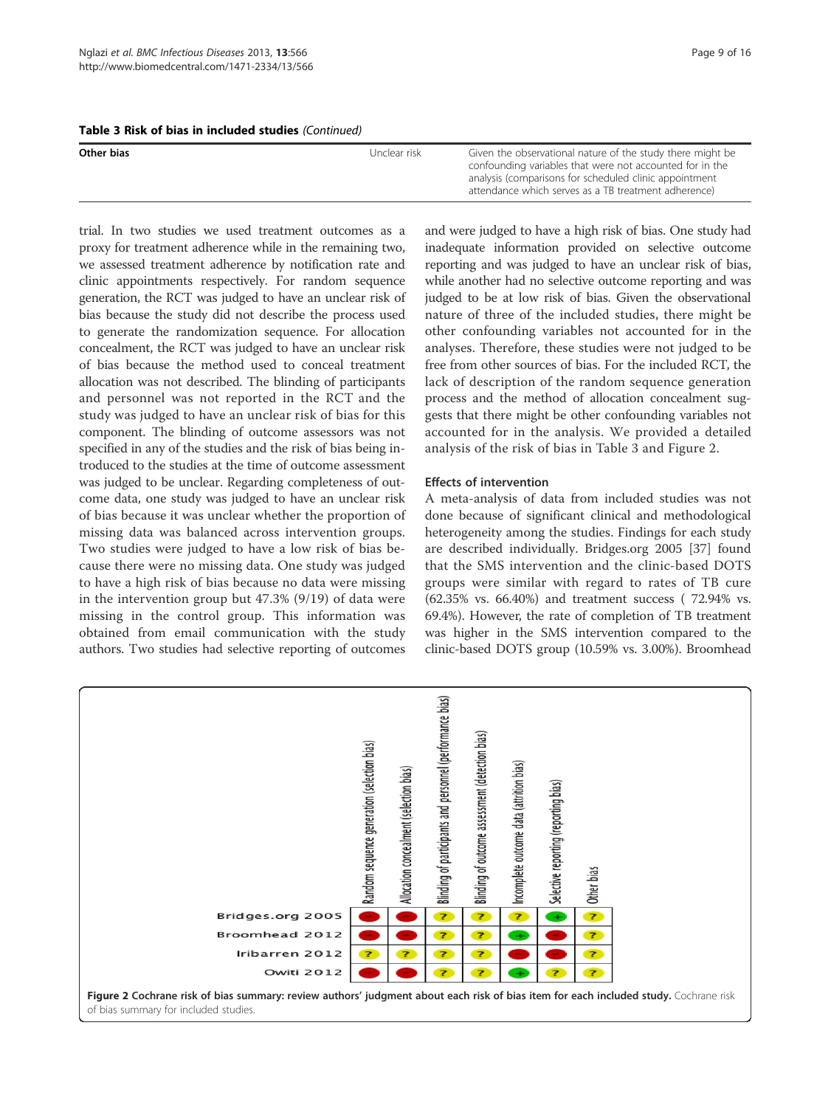|  |  |  |  |  |  |  | Table 3 Risk of bias in included studies (Continued) |
|--|--|--|--|--|--|--|------------------------------------------------------|
|--|--|--|--|--|--|--|------------------------------------------------------|

| Other bias<br>Unclear risk- | Given the observational nature of the study there might be<br>confounding variables that were not accounted for in the<br>analysis (comparisons for scheduled clinic appointment<br>attendance which serves as a TB treatment adherence) |
|-----------------------------|------------------------------------------------------------------------------------------------------------------------------------------------------------------------------------------------------------------------------------------|

trial. In two studies we used treatment outcomes as a proxy for treatment adherence while in the remaining two, we assessed treatment adherence by notification rate and clinic appointments respectively. For random sequence generation, the RCT was judged to have an unclear risk of bias because the study did not describe the process used to generate the randomization sequence. For allocation concealment, the RCT was judged to have an unclear risk of bias because the method used to conceal treatment allocation was not described. The blinding of participants and personnel was not reported in the RCT and the study was judged to have an unclear risk of bias for this component. The blinding of outcome assessors was not specified in any of the studies and the risk of bias being introduced to the studies at the time of outcome assessment was judged to be unclear. Regarding completeness of outcome data, one study was judged to have an unclear risk of bias because it was unclear whether the proportion of missing data was balanced across intervention groups. Two studies were judged to have a low risk of bias because there were no missing data. One study was judged to have a high risk of bias because no data were missing in the intervention group but 47.3% (9/19) of data were missing in the control group. This information was obtained from email communication with the study authors. Two studies had selective reporting of outcomes

and were judged to have a high risk of bias. One study had inadequate information provided on selective outcome reporting and was judged to have an unclear risk of bias, while another had no selective outcome reporting and was judged to be at low risk of bias. Given the observational nature of three of the included studies, there might be other confounding variables not accounted for in the analyses. Therefore, these studies were not judged to be free from other sources of bias. For the included RCT, the lack of description of the random sequence generation process and the method of allocation concealment suggests that there might be other confounding variables not accounted for in the analysis. We provided a detailed analysis of the risk of bias in Table 3 and Figure 2.

# Effects of intervention

A meta-analysis of data from included studies was not done because of significant clinical and methodological heterogeneity among the studies. Findings for each study are described individually. Bridges.org 2005 [37] found that the SMS intervention and the clinic-based DOTS groups were similar with regard to rates of TB cure (62.35% vs. 66.40%) and treatment success ( 72.94% vs. 69.4%). However, the rate of completion of TB treatment was higher in the SMS intervention compared to the clinic-based DOTS group (10.59% vs. 3.00%). Broomhead

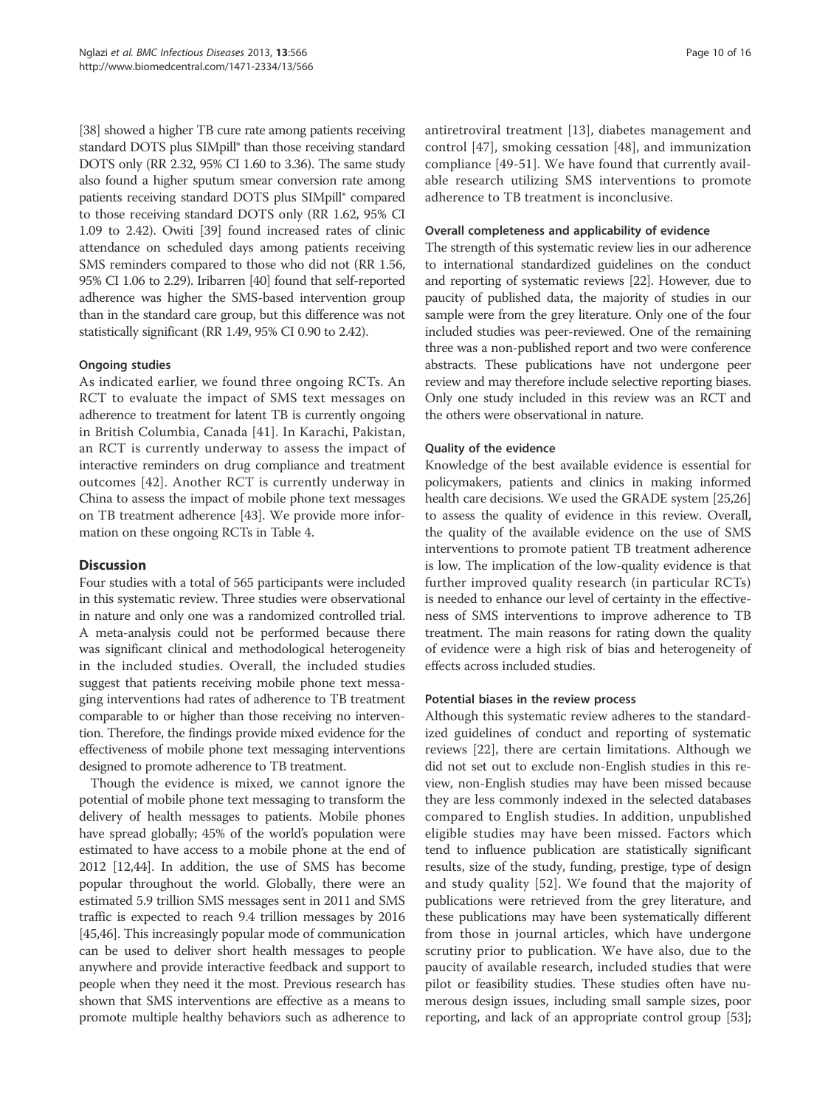[38] showed a higher TB cure rate among patients receiving standard DOTS plus SIMpill® than those receiving standard DOTS only (RR 2.32, 95% CI 1.60 to 3.36). The same study also found a higher sputum smear conversion rate among patients receiving standard DOTS plus SIMpill® compared to those receiving standard DOTS only (RR 1.62, 95% CI 1.09 to 2.42). Owiti [39] found increased rates of clinic attendance on scheduled days among patients receiving SMS reminders compared to those who did not (RR 1.56, 95% CI 1.06 to 2.29). Iribarren [40] found that self-reported adherence was higher the SMS-based intervention group than in the standard care group, but this difference was not statistically significant (RR 1.49, 95% CI 0.90 to 2.42).

#### Ongoing studies

As indicated earlier, we found three ongoing RCTs. An RCT to evaluate the impact of SMS text messages on adherence to treatment for latent TB is currently ongoing in British Columbia, Canada [41]. In Karachi, Pakistan, an RCT is currently underway to assess the impact of interactive reminders on drug compliance and treatment outcomes [42]. Another RCT is currently underway in China to assess the impact of mobile phone text messages on TB treatment adherence [43]. We provide more information on these ongoing RCTs in Table 4.

# **Discussion**

Four studies with a total of 565 participants were included in this systematic review. Three studies were observational in nature and only one was a randomized controlled trial. A meta-analysis could not be performed because there was significant clinical and methodological heterogeneity in the included studies. Overall, the included studies suggest that patients receiving mobile phone text messaging interventions had rates of adherence to TB treatment comparable to or higher than those receiving no intervention. Therefore, the findings provide mixed evidence for the effectiveness of mobile phone text messaging interventions designed to promote adherence to TB treatment.

Though the evidence is mixed, we cannot ignore the potential of mobile phone text messaging to transform the delivery of health messages to patients. Mobile phones have spread globally; 45% of the world's population were estimated to have access to a mobile phone at the end of 2012 [12,44]. In addition, the use of SMS has become popular throughout the world. Globally, there were an estimated 5.9 trillion SMS messages sent in 2011 and SMS traffic is expected to reach 9.4 trillion messages by 2016 [45,46]. This increasingly popular mode of communication can be used to deliver short health messages to people anywhere and provide interactive feedback and support to people when they need it the most. Previous research has shown that SMS interventions are effective as a means to promote multiple healthy behaviors such as adherence to antiretroviral treatment [13], diabetes management and control [47], smoking cessation [48], and immunization compliance [49-51]. We have found that currently available research utilizing SMS interventions to promote adherence to TB treatment is inconclusive.

#### Overall completeness and applicability of evidence

The strength of this systematic review lies in our adherence to international standardized guidelines on the conduct and reporting of systematic reviews [22]. However, due to paucity of published data, the majority of studies in our sample were from the grey literature. Only one of the four included studies was peer-reviewed. One of the remaining three was a non-published report and two were conference abstracts. These publications have not undergone peer review and may therefore include selective reporting biases. Only one study included in this review was an RCT and the others were observational in nature.

#### Quality of the evidence

Knowledge of the best available evidence is essential for policymakers, patients and clinics in making informed health care decisions. We used the GRADE system [25,26] to assess the quality of evidence in this review. Overall, the quality of the available evidence on the use of SMS interventions to promote patient TB treatment adherence is low. The implication of the low-quality evidence is that further improved quality research (in particular RCTs) is needed to enhance our level of certainty in the effectiveness of SMS interventions to improve adherence to TB treatment. The main reasons for rating down the quality of evidence were a high risk of bias and heterogeneity of effects across included studies.

#### Potential biases in the review process

Although this systematic review adheres to the standardized guidelines of conduct and reporting of systematic reviews [22], there are certain limitations. Although we did not set out to exclude non-English studies in this review, non-English studies may have been missed because they are less commonly indexed in the selected databases compared to English studies. In addition, unpublished eligible studies may have been missed. Factors which tend to influence publication are statistically significant results, size of the study, funding, prestige, type of design and study quality [52]. We found that the majority of publications were retrieved from the grey literature, and these publications may have been systematically different from those in journal articles, which have undergone scrutiny prior to publication. We have also, due to the paucity of available research, included studies that were pilot or feasibility studies. These studies often have numerous design issues, including small sample sizes, poor reporting, and lack of an appropriate control group [53];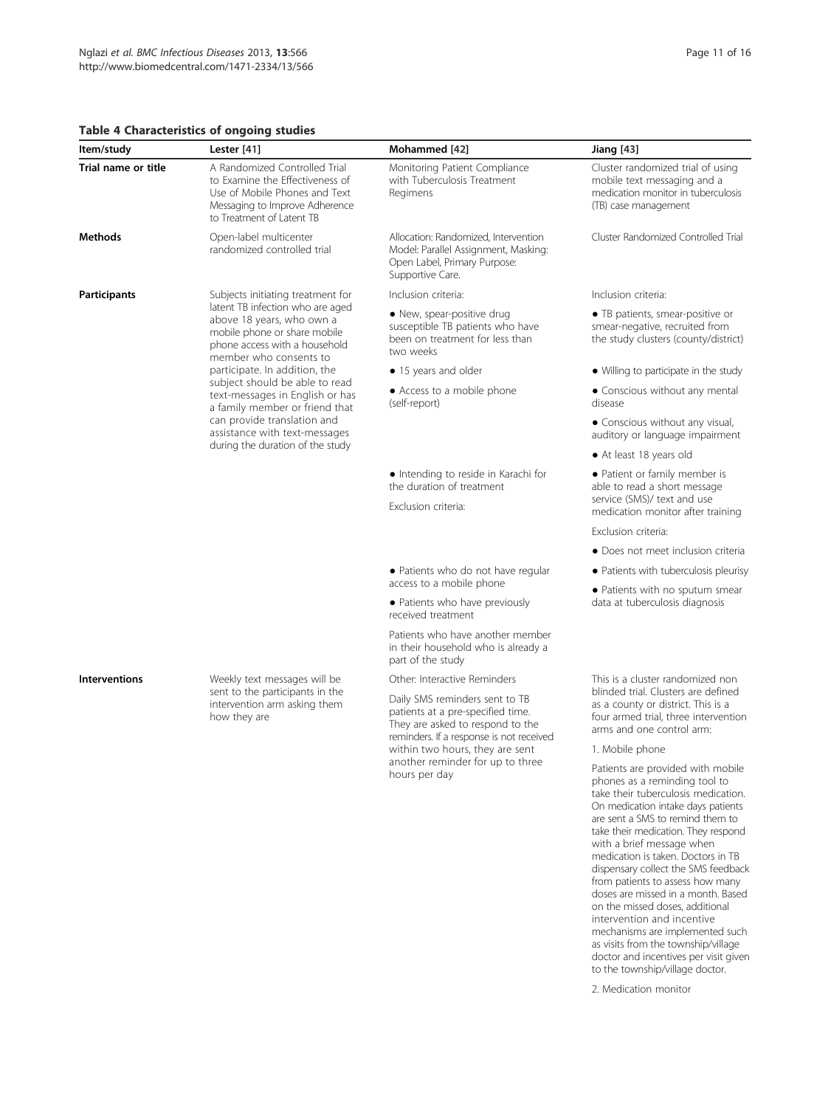#### Table 4 Characteristics of ongoing studies

| ltem/study           | Lester [41]                                                                                                                                                                                             | Mohammed [42]                                                                                                                                       | <b>Jiang</b> [43]                                                                                                                              |
|----------------------|---------------------------------------------------------------------------------------------------------------------------------------------------------------------------------------------------------|-----------------------------------------------------------------------------------------------------------------------------------------------------|------------------------------------------------------------------------------------------------------------------------------------------------|
| Trial name or title  | A Randomized Controlled Trial<br>to Examine the Effectiveness of<br>Use of Mobile Phones and Text<br>Messaging to Improve Adherence<br>to Treatment of Latent TB                                        | Monitoring Patient Compliance<br>with Tuberculosis Treatment<br>Regimens                                                                            | Cluster randomized trial of using<br>mobile text messaging and a<br>medication monitor in tuberculosis<br>(TB) case management                 |
| Methods              | Open-label multicenter<br>randomized controlled trial                                                                                                                                                   | Allocation: Randomized, Intervention<br>Model: Parallel Assignment, Masking:<br>Open Label, Primary Purpose:<br>Supportive Care.                    | Cluster Randomized Controlled Trial                                                                                                            |
| <b>Participants</b>  | Subjects initiating treatment for<br>latent TB infection who are aged<br>above 18 years, who own a<br>mobile phone or share mobile<br>phone access with a household<br>member who consents to           | Inclusion criteria:                                                                                                                                 | Inclusion criteria:                                                                                                                            |
|                      |                                                                                                                                                                                                         | • New, spear-positive drug<br>susceptible TB patients who have<br>been on treatment for less than<br>two weeks                                      | • TB patients, smear-positive or<br>smear-negative, recruited from<br>the study clusters (county/district)                                     |
|                      | participate. In addition, the                                                                                                                                                                           | · 15 years and older                                                                                                                                | • Willing to participate in the study                                                                                                          |
|                      | subject should be able to read<br>text-messages in English or has<br>a family member or friend that<br>can provide translation and<br>assistance with text-messages<br>during the duration of the study | • Access to a mobile phone<br>(self-report)                                                                                                         | • Conscious without any mental<br>disease                                                                                                      |
|                      |                                                                                                                                                                                                         |                                                                                                                                                     | • Conscious without any visual,<br>auditory or language impairment                                                                             |
|                      |                                                                                                                                                                                                         |                                                                                                                                                     | • At least 18 years old                                                                                                                        |
|                      |                                                                                                                                                                                                         | • Intending to reside in Karachi for<br>the duration of treatment                                                                                   | • Patient or family member is<br>able to read a short message<br>service (SMS)/ text and use<br>medication monitor after training              |
|                      |                                                                                                                                                                                                         | Exclusion criteria:                                                                                                                                 |                                                                                                                                                |
|                      |                                                                                                                                                                                                         |                                                                                                                                                     | Exclusion criteria:                                                                                                                            |
|                      |                                                                                                                                                                                                         |                                                                                                                                                     | • Does not meet inclusion criteria                                                                                                             |
|                      |                                                                                                                                                                                                         | • Patients who do not have regular<br>access to a mobile phone                                                                                      | • Patients with tuberculosis pleurisy                                                                                                          |
|                      |                                                                                                                                                                                                         | • Patients who have previously<br>received treatment                                                                                                | · Patients with no sputum smear<br>data at tuberculosis diagnosis                                                                              |
|                      |                                                                                                                                                                                                         | Patients who have another member<br>in their household who is already a<br>part of the study                                                        |                                                                                                                                                |
| <b>Interventions</b> | Weekly text messages will be<br>sent to the participants in the<br>intervention arm asking them<br>how they are                                                                                         | Other: Interactive Reminders                                                                                                                        | This is a cluster randomized non                                                                                                               |
|                      |                                                                                                                                                                                                         | Daily SMS reminders sent to TB<br>patients at a pre-specified time.<br>They are asked to respond to the<br>reminders. If a response is not received | blinded trial. Clusters are defined<br>as a county or district. This is a<br>four armed trial, three intervention<br>arms and one control arm: |

within two hours, they are sent another reminder for up to three

hours per day

#### 1. Mobile phone

Patients are provided with mobile phones as a reminding tool to take their tuberculosis medication. On medication intake days patients are sent a SMS to remind them to take their medication. They respond with a brief message when medication is taken. Doctors in TB dispensary collect the SMS feedback from patients to assess how many doses are missed in a month. Based on the missed doses, additional intervention and incentive mechanisms are implemented such as visits from the township/village doctor and incentives per visit given to the township/village doctor.

2. Medication monitor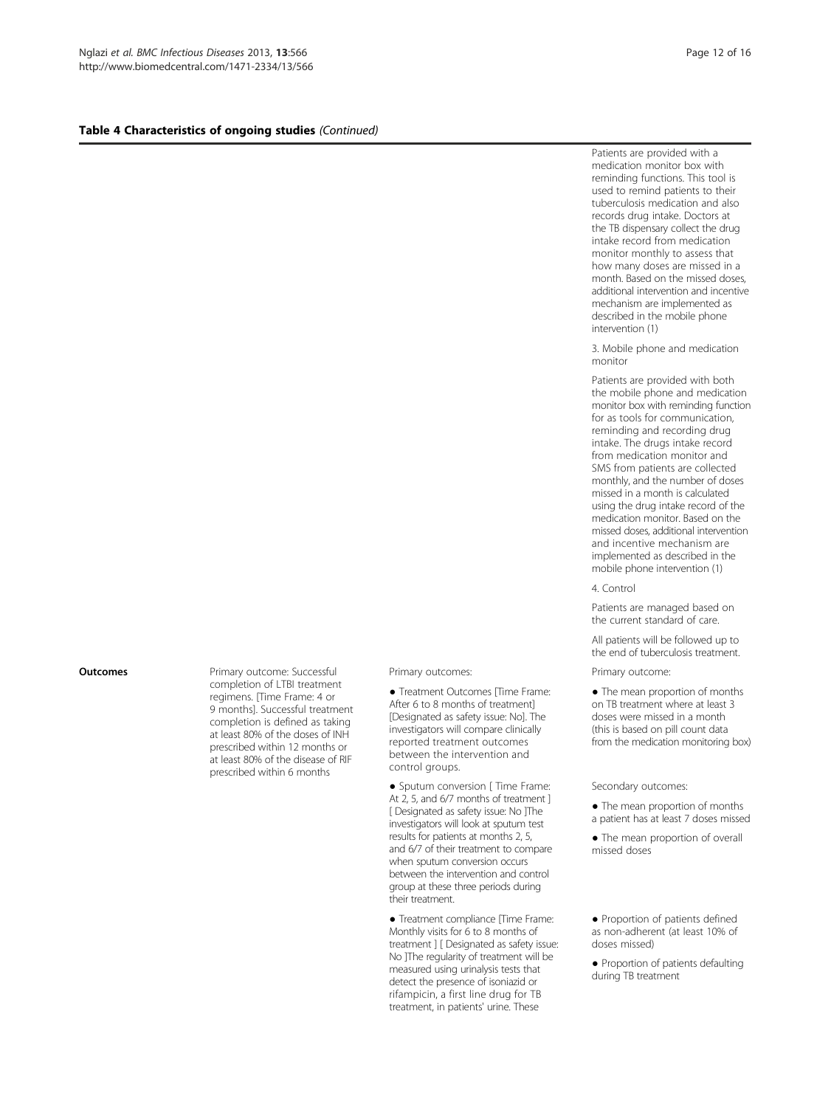#### Table 4 Characteristics of ongoing studies (Continued)

Patients are provided with a medication monitor box with reminding functions. This tool is used to remind patients to their tuberculosis medication and also records drug intake. Doctors at the TB dispensary collect the drug intake record from medication monitor monthly to assess that how many doses are missed in a month. Based on the missed doses, additional intervention and incentive mechanism are implemented as described in the mobile phone intervention (1)

#### 3. Mobile phone and medication monitor

Patients are provided with both the mobile phone and medication monitor box with reminding function for as tools for communication, reminding and recording drug intake. The drugs intake record from medication monitor and SMS from patients are collected monthly, and the number of doses missed in a month is calculated using the drug intake record of the medication monitor. Based on the missed doses, additional intervention and incentive mechanism are implemented as described in the mobile phone intervention (1)

4. Control

Patients are managed based on the current standard of care.

All patients will be followed up to the end of tuberculosis treatment.

● The mean proportion of months on TB treatment where at least 3 doses were missed in a month (this is based on pill count data from the medication monitoring box)

#### Secondary outcomes:

- The mean proportion of months a patient has at least 7 doses missed
- The mean proportion of overall missed doses
- Proportion of patients defined as non-adherent (at least 10% of doses missed)
- Proportion of patients defaulting during TB treatment

**Outcomes** Primary outcome: Successful completion of LTBI treatment regimens. [Time Frame: 4 or 9 months]. Successful treatment completion is defined as taking at least 80% of the doses of INH prescribed within 12 months or at least 80% of the disease of RIF prescribed within 6 months

Primary outcomes: Primary outcome:

● Treatment Outcomes [Time Frame: After 6 to 8 months of treatment] [Designated as safety issue: No]. The investigators will compare clinically reported treatment outcomes between the intervention and control groups.

● Sputum conversion [ Time Frame: At 2, 5, and 6/7 months of treatment ] [ Designated as safety issue: No ]The investigators will look at sputum test results for patients at months 2, 5, and 6/7 of their treatment to compare when sputum conversion occurs between the intervention and control group at these three periods during their treatment.

● Treatment compliance [Time Frame: Monthly visits for 6 to 8 months of treatment ] [ Designated as safety issue: No ]The regularity of treatment will be measured using urinalysis tests that detect the presence of isoniazid or rifampicin, a first line drug for TB treatment, in patients' urine. These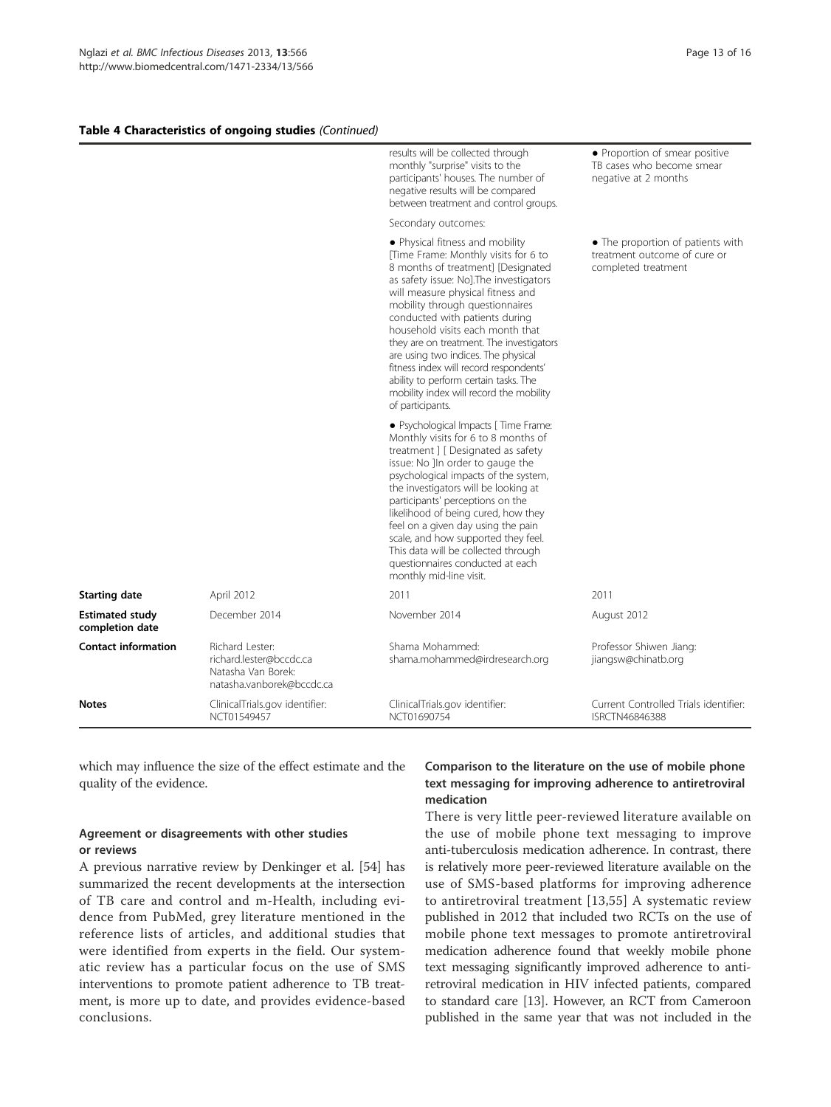#### Table 4 Characteristics of ongoing studies (Continued)

|                                           |                                                                                               | results will be collected through<br>monthly "surprise" visits to the<br>participants' houses. The number of<br>negative results will be compared<br>between treatment and control groups.<br>Secondary outcomes:                                                                                                                                                                                                                                                                                                                           | • Proportion of smear positive<br>TB cases who become smear<br>negative at 2 months      |
|-------------------------------------------|-----------------------------------------------------------------------------------------------|---------------------------------------------------------------------------------------------------------------------------------------------------------------------------------------------------------------------------------------------------------------------------------------------------------------------------------------------------------------------------------------------------------------------------------------------------------------------------------------------------------------------------------------------|------------------------------------------------------------------------------------------|
|                                           |                                                                                               |                                                                                                                                                                                                                                                                                                                                                                                                                                                                                                                                             |                                                                                          |
|                                           |                                                                                               | · Physical fitness and mobility<br>[Time Frame: Monthly visits for 6 to<br>8 months of treatment] [Designated<br>as safety issue: No]. The investigators<br>will measure physical fitness and<br>mobility through questionnaires<br>conducted with patients during<br>household visits each month that<br>they are on treatment. The investigators<br>are using two indices. The physical<br>fitness index will record respondents'<br>ability to perform certain tasks. The<br>mobility index will record the mobility<br>of participants. | • The proportion of patients with<br>treatment outcome of cure or<br>completed treatment |
|                                           |                                                                                               | · Psychological Impacts [ Time Frame:<br>Monthly visits for 6 to 8 months of<br>treatment ] [ Designated as safety<br>issue: No ]In order to gauge the<br>psychological impacts of the system,<br>the investigators will be looking at<br>participants' perceptions on the<br>likelihood of being cured, how they<br>feel on a given day using the pain<br>scale, and how supported they feel.<br>This data will be collected through<br>questionnaires conducted at each<br>monthly mid-line visit.                                        |                                                                                          |
| <b>Starting date</b>                      | April 2012                                                                                    | 2011                                                                                                                                                                                                                                                                                                                                                                                                                                                                                                                                        | 2011                                                                                     |
| <b>Estimated study</b><br>completion date | December 2014                                                                                 | November 2014                                                                                                                                                                                                                                                                                                                                                                                                                                                                                                                               | August 2012                                                                              |
| <b>Contact information</b>                | Richard Lester:<br>richard.lester@bccdc.ca<br>Natasha Van Borek:<br>natasha.vanborek@bccdc.ca | Shama Mohammed:<br>shama.mohammed@irdresearch.org                                                                                                                                                                                                                                                                                                                                                                                                                                                                                           | Professor Shiwen Jiang:<br>jiangsw@chinatb.org                                           |
| <b>Notes</b>                              | ClinicalTrials.gov identifier:<br>NCT01549457                                                 | ClinicalTrials.gov identifier:<br>NCT01690754                                                                                                                                                                                                                                                                                                                                                                                                                                                                                               | Current Controlled Trials identifier:<br><b>ISRCTN46846388</b>                           |

which may influence the size of the effect estimate and the quality of the evidence.

# Agreement or disagreements with other studies or reviews

A previous narrative review by Denkinger et al. [54] has summarized the recent developments at the intersection of TB care and control and m-Health, including evidence from PubMed, grey literature mentioned in the reference lists of articles, and additional studies that were identified from experts in the field. Our systematic review has a particular focus on the use of SMS interventions to promote patient adherence to TB treatment, is more up to date, and provides evidence-based conclusions.

# Comparison to the literature on the use of mobile phone text messaging for improving adherence to antiretroviral medication

There is very little peer-reviewed literature available on the use of mobile phone text messaging to improve anti-tuberculosis medication adherence. In contrast, there is relatively more peer-reviewed literature available on the use of SMS-based platforms for improving adherence to antiretroviral treatment [13,55] A systematic review published in 2012 that included two RCTs on the use of mobile phone text messages to promote antiretroviral medication adherence found that weekly mobile phone text messaging significantly improved adherence to antiretroviral medication in HIV infected patients, compared to standard care [13]. However, an RCT from Cameroon published in the same year that was not included in the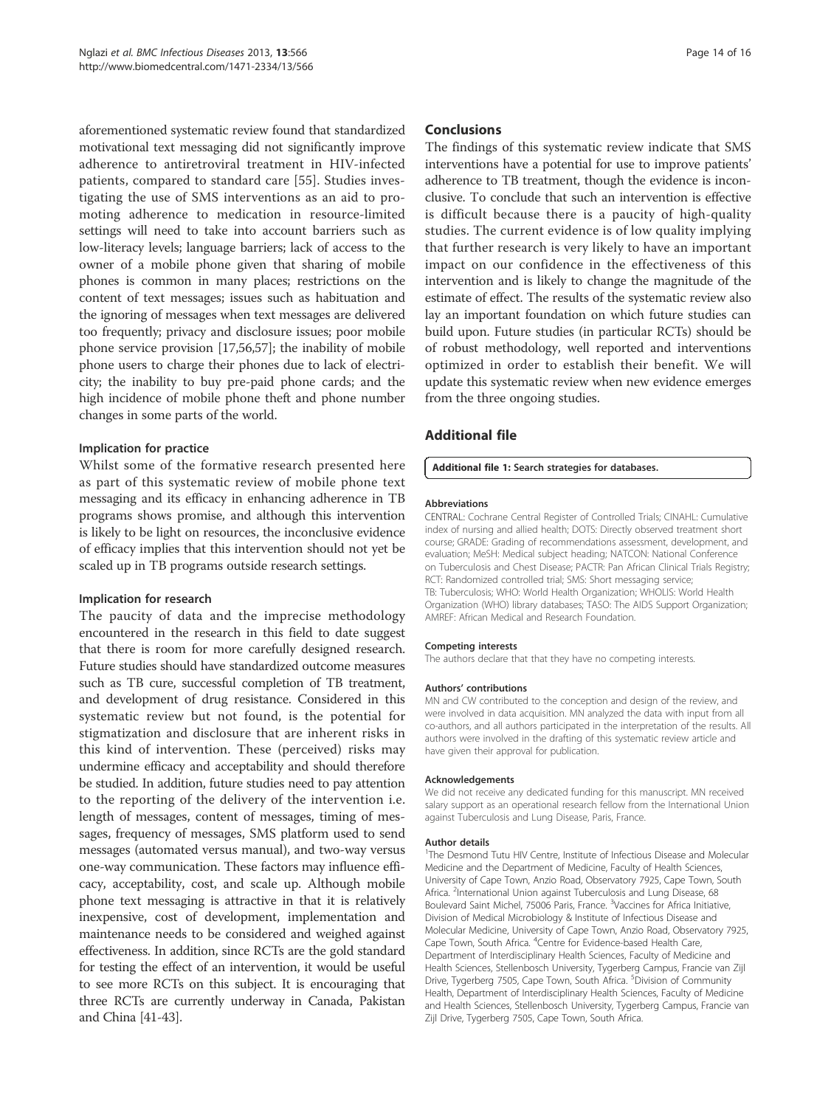aforementioned systematic review found that standardized motivational text messaging did not significantly improve adherence to antiretroviral treatment in HIV-infected patients, compared to standard care [55]. Studies investigating the use of SMS interventions as an aid to promoting adherence to medication in resource-limited settings will need to take into account barriers such as low-literacy levels; language barriers; lack of access to the owner of a mobile phone given that sharing of mobile phones is common in many places; restrictions on the content of text messages; issues such as habituation and the ignoring of messages when text messages are delivered too frequently; privacy and disclosure issues; poor mobile phone service provision [17,56,57]; the inability of mobile phone users to charge their phones due to lack of electricity; the inability to buy pre-paid phone cards; and the high incidence of mobile phone theft and phone number changes in some parts of the world.

#### Implication for practice

Whilst some of the formative research presented here as part of this systematic review of mobile phone text messaging and its efficacy in enhancing adherence in TB programs shows promise, and although this intervention is likely to be light on resources, the inconclusive evidence of efficacy implies that this intervention should not yet be scaled up in TB programs outside research settings.

#### Implication for research

The paucity of data and the imprecise methodology encountered in the research in this field to date suggest that there is room for more carefully designed research. Future studies should have standardized outcome measures such as TB cure, successful completion of TB treatment, and development of drug resistance. Considered in this systematic review but not found, is the potential for stigmatization and disclosure that are inherent risks in this kind of intervention. These (perceived) risks may undermine efficacy and acceptability and should therefore be studied. In addition, future studies need to pay attention to the reporting of the delivery of the intervention i.e. length of messages, content of messages, timing of messages, frequency of messages, SMS platform used to send messages (automated versus manual), and two-way versus one-way communication. These factors may influence efficacy, acceptability, cost, and scale up. Although mobile phone text messaging is attractive in that it is relatively inexpensive, cost of development, implementation and maintenance needs to be considered and weighed against effectiveness. In addition, since RCTs are the gold standard for testing the effect of an intervention, it would be useful to see more RCTs on this subject. It is encouraging that three RCTs are currently underway in Canada, Pakistan and China [41-43].

#### Conclusions

The findings of this systematic review indicate that SMS interventions have a potential for use to improve patients' adherence to TB treatment, though the evidence is inconclusive. To conclude that such an intervention is effective is difficult because there is a paucity of high-quality studies. The current evidence is of low quality implying that further research is very likely to have an important impact on our confidence in the effectiveness of this intervention and is likely to change the magnitude of the estimate of effect. The results of the systematic review also lay an important foundation on which future studies can build upon. Future studies (in particular RCTs) should be of robust methodology, well reported and interventions optimized in order to establish their benefit. We will update this systematic review when new evidence emerges from the three ongoing studies.

# Additional file

#### Additional file 1: Search strategies for databases.

#### Abbreviations

CENTRAL: Cochrane Central Register of Controlled Trials; CINAHL: Cumulative index of nursing and allied health; DOTS: Directly observed treatment short course; GRADE: Grading of recommendations assessment, development, and evaluation; MeSH: Medical subject heading; NATCON: National Conference on Tuberculosis and Chest Disease; PACTR: Pan African Clinical Trials Registry; RCT: Randomized controlled trial; SMS: Short messaging service; TB: Tuberculosis; WHO: World Health Organization; WHOLIS: World Health Organization (WHO) library databases; TASO: The AIDS Support Organization; AMREF: African Medical and Research Foundation.

#### Competing interests

The authors declare that that they have no competing interests.

#### Authors' contributions

MN and CW contributed to the conception and design of the review, and were involved in data acquisition. MN analyzed the data with input from all co-authors, and all authors participated in the interpretation of the results. All authors were involved in the drafting of this systematic review article and have given their approval for publication.

#### Acknowledgements

We did not receive any dedicated funding for this manuscript. MN received salary support as an operational research fellow from the International Union against Tuberculosis and Lung Disease, Paris, France.

#### Author details

<sup>1</sup>The Desmond Tutu HIV Centre, Institute of Infectious Disease and Molecular Medicine and the Department of Medicine, Faculty of Health Sciences, University of Cape Town, Anzio Road, Observatory 7925, Cape Town, South Africa. <sup>2</sup>International Union against Tuberculosis and Lung Disease, 68 Boulevard Saint Michel, 75006 Paris, France. <sup>3</sup>Vaccines for Africa Initiative Division of Medical Microbiology & Institute of Infectious Disease and Molecular Medicine, University of Cape Town, Anzio Road, Observatory 7925, Cape Town, South Africa. <sup>4</sup>Centre for Evidence-based Health Care Department of Interdisciplinary Health Sciences, Faculty of Medicine and Health Sciences, Stellenbosch University, Tygerberg Campus, Francie van Zijl Drive, Tygerberg 7505, Cape Town, South Africa. <sup>5</sup>Division of Community Health, Department of Interdisciplinary Health Sciences, Faculty of Medicine and Health Sciences, Stellenbosch University, Tygerberg Campus, Francie van Zijl Drive, Tygerberg 7505, Cape Town, South Africa.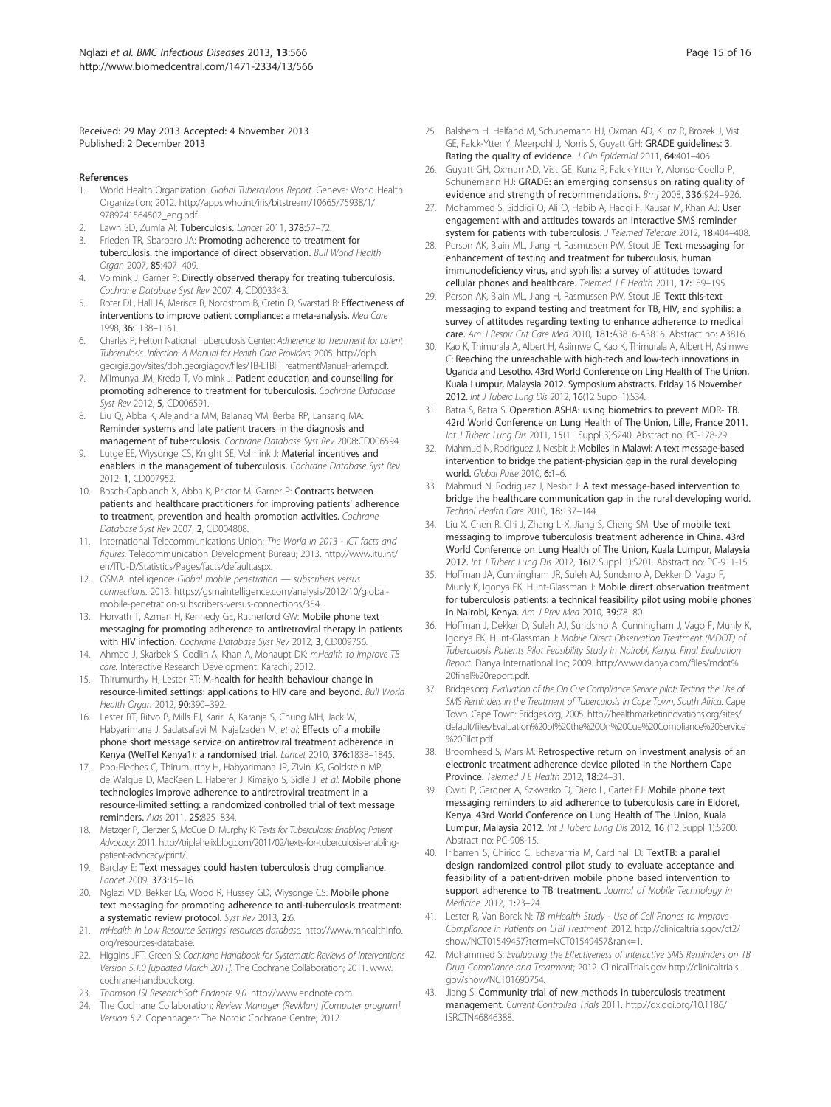#### Received: 29 May 2013 Accepted: 4 November 2013 Published: 2 December 2013

#### References

- World Health Organization: Global Tuberculosis Report. Geneva: World Health Organization; 2012. http://apps.who.int/iris/bitstream/10665/75938/1/ 9789241564502\_eng.pdf.
- Lawn SD, Zumla AI: Tuberculosis. Lancet 2011, 378:57-72.
- Frieden TR, Sbarbaro JA: Promoting adherence to treatment for tuberculosis: the importance of direct observation. Bull World Health Organ 2007, 85:407–409.
- 4. Volmink J, Garner P: Directly observed therapy for treating tuberculosis. Cochrane Database Syst Rev 2007, 4, CD003343.
- Roter DL, Hall JA, Merisca R, Nordstrom B, Cretin D, Svarstad B: Effectiveness of interventions to improve patient compliance: a meta-analysis. Med Care 1998, 36:1138–1161.
- 6. Charles P, Felton National Tuberculosis Center: Adherence to Treatment for Latent Tuberculosis. Infection: A Manual for Health Care Providers; 2005. http://dph. georgia.gov/sites/dph.georgia.gov/files/TB-LTBI\_TreatmentManuaHarlem.pdf.
- 7. M'Imunya JM, Kredo T, Volmink J: Patient education and counselling for promoting adherence to treatment for tuberculosis. Cochrane Database Syst Rev 2012, 5, CD006591.
- 8. Liu Q, Abba K, Alejandria MM, Balanag VM, Berba RP, Lansang MA: Reminder systems and late patient tracers in the diagnosis and management of tuberculosis. Cochrane Database Syst Rev 2008:CD006594.
- Lutge EE, Wiysonge CS, Knight SE, Volmink J: Material incentives and enablers in the management of tuberculosis. Cochrane Database Syst Rev 2012, 1, CD007952.
- 10. Bosch-Capblanch X, Abba K, Prictor M, Garner P: Contracts between patients and healthcare practitioners for improving patients' adherence to treatment, prevention and health promotion activities. Cochrane Database Syst Rev 2007, 2, CD004808.
- 11. International Telecommunications Union: The World in 2013 ICT facts and figures. Telecommunication Development Bureau; 2013. http://www.itu.int/ en/ITU-D/Statistics/Pages/facts/default.aspx.
- 12. GSMA Intelligence: Global mobile penetration subscribers versus connections. 2013. https://gsmaintelligence.com/analysis/2012/10/globalmobile-penetration-subscribers-versus-connections/354.
- 13. Horvath T, Azman H, Kennedy GE, Rutherford GW: Mobile phone text messaging for promoting adherence to antiretroviral therapy in patients with HIV infection. Cochrane Database Syst Rev 2012, 3, CD009756.
- 14. Ahmed J, Skarbek S, Codlin A, Khan A, Mohaupt DK: mHealth to improve TB care. Interactive Research Development: Karachi; 2012.
- 15. Thirumurthy H, Lester RT: M-health for health behaviour change in resource-limited settings: applications to HIV care and beyond. Bull World Health Organ 2012, 90:390–392.
- 16. Lester RT, Ritvo P, Mills EJ, Kariri A, Karanja S, Chung MH, Jack W, Habyarimana J, Sadatsafavi M, Najafzadeh M, et al: Effects of a mobile phone short message service on antiretroviral treatment adherence in Kenya (WelTel Kenya1): a randomised trial. Lancet 2010, 376:1838–1845.
- 17. Pop-Eleches C, Thirumurthy H, Habyarimana JP, Zivin JG, Goldstein MP, de Walque D, MacKeen L, Haberer J, Kimaiyo S, Sidle J, et al: Mobile phone technologies improve adherence to antiretroviral treatment in a resource-limited setting: a randomized controlled trial of text message reminders. Aids 2011, 25:825–834.
- 18. Metzger P, Clerizier S, McCue D, Murphy K: Texts for Tuberculosis: Enabling Patient Advocacy; 2011. http://triplehelixblog.com/2011/02/texts-for-tuberculosis-enablingpatient-advocacy/print/.
- 19. Barclay E: Text messages could hasten tuberculosis drug compliance. Lancet 2009, 373:15–16.
- 20. Nglazi MD, Bekker LG, Wood R, Hussey GD, Wiysonge CS: Mobile phone text messaging for promoting adherence to anti-tuberculosis treatment: a systematic review protocol. Syst Rev 2013, 2:6.
- 21. mHealth in Low Resource Settings' resources database. http://www.mhealthinfo. org/resources-database.
- 22. Higgins JPT, Green S: Cochrane Handbook for Systematic Reviews of Interventions Version 5.1.0 [updated March 2011]. The Cochrane Collaboration; 2011. www. cochrane-handbook.org.
- 23. Thomson ISI ResearchSoft Endnote 9.0. http://www.endnote.com.
- 24. The Cochrane Collaboration: Review Manager (RevMan) [Computer program]. Version 5.2. Copenhagen: The Nordic Cochrane Centre; 2012.
- 25. Balshem H, Helfand M, Schunemann HJ, Oxman AD, Kunz R, Brozek J, Vist GE, Falck-Ytter Y, Meerpohl J, Norris S, Guyatt GH: GRADE guidelines: 3. Rating the quality of evidence. J Clin Epidemiol 2011, 64:401-406.
- 26. Guyatt GH, Oxman AD, Vist GE, Kunz R, Falck-Ytter Y, Alonso-Coello P, Schunemann HJ: GRADE: an emerging consensus on rating quality of evidence and strength of recommendations. Bmj 2008, 336:924–926.
- 27. Mohammed S, Siddiqi O, Ali O, Habib A, Haqqi F, Kausar M, Khan AJ: User engagement with and attitudes towards an interactive SMS reminder system for patients with tuberculosis. J Telemed Telecare 2012, 18:404–408.
- 28. Person AK, Blain ML, Jiang H, Rasmussen PW, Stout JE: Text messaging for enhancement of testing and treatment for tuberculosis, human immunodeficiency virus, and syphilis: a survey of attitudes toward cellular phones and healthcare. Telemed J E Health 2011, 17:189-195.
- 29. Person AK, Blain ML, Jiang H, Rasmussen PW, Stout JE: Textt this-text messaging to expand testing and treatment for TB, HIV, and syphilis: a survey of attitudes regarding texting to enhance adherence to medical care. Am J Respir Crit Care Med 2010, 181:A3816-A3816. Abstract no: A3816.
- 30. Kao K, Thimurala A, Albert H, Asiimwe C, Kao K, Thimurala A, Albert H, Asiimwe C: Reaching the unreachable with high-tech and low-tech innovations in Uganda and Lesotho. 43rd World Conference on Ling Health of The Union, Kuala Lumpur, Malaysia 2012. Symposium abstracts, Friday 16 November 2012. Int J Tuberc Lung Dis 2012, 16(12 Suppl 1):S34.
- 31. Batra S, Batra S: Operation ASHA: using biometrics to prevent MDR- TB. 42rd World Conference on Lung Health of The Union, Lille, France 2011. Int J Tuberc Lung Dis 2011, 15(11 Suppl 3):S240. Abstract no: PC-178-29.
- 32. Mahmud N, Rodriguez J, Nesbit J: Mobiles in Malawi: A text message-based intervention to bridge the patient-physician gap in the rural developing world. Global Pulse 2010, 6:1–6.
- Mahmud N, Rodriguez J, Nesbit J: A text message-based intervention to bridge the healthcare communication gap in the rural developing world. Technol Health Care 2010, 18:137–144.
- 34. Liu X, Chen R, Chi J, Zhang L-X, Jiang S, Cheng SM: Use of mobile text messaging to improve tuberculosis treatment adherence in China. 43rd World Conference on Lung Health of The Union, Kuala Lumpur, Malaysia 2012. Int J Tuberc Lung Dis 2012, 16(2 Suppl 1): S201. Abstract no: PC-911-15.
- 35. Hoffman JA, Cunningham JR, Suleh AJ, Sundsmo A, Dekker D, Vago F, Munly K, Igonya EK, Hunt-Glassman J: Mobile direct observation treatment for tuberculosis patients: a technical feasibility pilot using mobile phones in Nairobi, Kenya. Am J Prev Med 2010, 39:78–80.
- 36. Hoffman J, Dekker D, Suleh AJ, Sundsmo A, Cunningham J, Vago F, Munly K, Igonya EK, Hunt-Glassman J: Mobile Direct Observation Treatment (MDOT) of Tuberculosis Patients Pilot Feasibility Study in Nairobi, Kenya. Final Evaluation Report. Danya International Inc; 2009. http://www.danya.com/files/mdot% 20final%20report.pdf.
- 37. Bridges.org: Evaluation of the On Cue Compliance Service pilot: Testing the Use of SMS Reminders in the Treatment of Tuberculosis in Cape Town, South Africa. Cape Town. Cape Town: Bridges.org; 2005. http://healthmarketinnovations.org/sites/ default/files/Evaluation%20of%20the%20On%20Cue%20Compliance%20Service %20Pilot.pdf.
- 38. Broomhead S, Mars M: Retrospective return on investment analysis of an electronic treatment adherence device piloted in the Northern Cape Province. Telemed J E Health 2012, 18:24-31.
- 39. Owiti P, Gardner A, Szkwarko D, Diero L, Carter EJ: Mobile phone text messaging reminders to aid adherence to tuberculosis care in Eldoret, Kenya. 43rd World Conference on Lung Health of The Union, Kuala Lumpur, Malaysia 2012. Int J Tuberc Lung Dis 2012, 16 (12 Suppl 1):S200. Abstract no: PC-908-15.
- 40. Iribarren S, Chirico C, Echevarrria M, Cardinali D: TextTB: a parallel design randomized control pilot study to evaluate acceptance and feasibility of a patient-driven mobile phone based intervention to support adherence to TB treatment. Journal of Mobile Technology in Medicine 2012, 1:23–24.
- 41. Lester R, Van Borek N: TB mHealth Study Use of Cell Phones to Improve Compliance in Patients on LTBI Treatment; 2012. http://clinicaltrials.gov/ct2/ show/NCT01549457?term=NCT01549457&rank=1.
- 42. Mohammed S: Evaluating the Effectiveness of Interactive SMS Reminders on TB Drug Compliance and Treatment; 2012. ClinicalTrials.gov http://clinicaltrials. gov/show/NCT01690754.
- 43. Jiang S: Community trial of new methods in tuberculosis treatment management. Current Controlled Trials 2011. http://dx.doi.org/10.1186/ ISRCTN46846388.